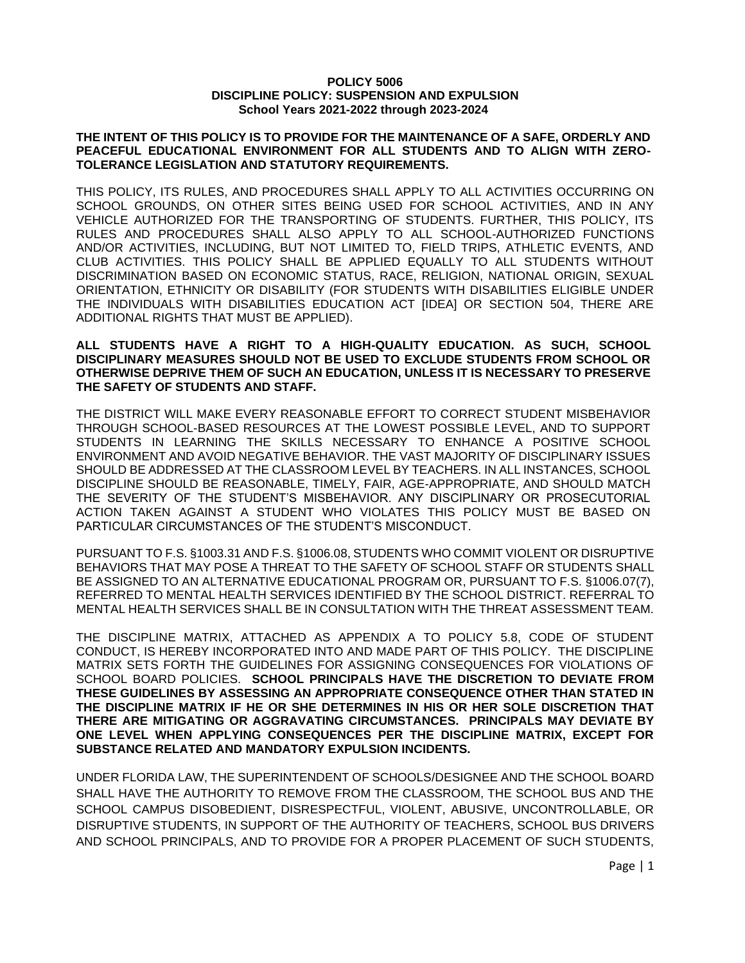#### **POLICY 5006 DISCIPLINE POLICY: SUSPENSION AND EXPULSION School Years 2021-2022 through 2023-2024**

### **THE INTENT OF THIS POLICY IS TO PROVIDE FOR THE MAINTENANCE OF A SAFE, ORDERLY AND PEACEFUL EDUCATIONAL ENVIRONMENT FOR ALL STUDENTS AND TO ALIGN WITH ZERO-TOLERANCE LEGISLATION AND STATUTORY REQUIREMENTS.**

THIS POLICY, ITS RULES, AND PROCEDURES SHALL APPLY TO ALL ACTIVITIES OCCURRING ON SCHOOL GROUNDS, ON OTHER SITES BEING USED FOR SCHOOL ACTIVITIES, AND IN ANY VEHICLE AUTHORIZED FOR THE TRANSPORTING OF STUDENTS. FURTHER, THIS POLICY, ITS RULES AND PROCEDURES SHALL ALSO APPLY TO ALL SCHOOL-AUTHORIZED FUNCTIONS AND/OR ACTIVITIES, INCLUDING, BUT NOT LIMITED TO, FIELD TRIPS, ATHLETIC EVENTS, AND CLUB ACTIVITIES. THIS POLICY SHALL BE APPLIED EQUALLY TO ALL STUDENTS WITHOUT DISCRIMINATION BASED ON ECONOMIC STATUS, RACE, RELIGION, NATIONAL ORIGIN, SEXUAL ORIENTATION, ETHNICITY OR DISABILITY (FOR STUDENTS WITH DISABILITIES ELIGIBLE UNDER THE INDIVIDUALS WITH DISABILITIES EDUCATION ACT [IDEA] OR SECTION 504, THERE ARE ADDITIONAL RIGHTS THAT MUST BE APPLIED).

### **ALL STUDENTS HAVE A RIGHT TO A HIGH-QUALITY EDUCATION. AS SUCH, SCHOOL DISCIPLINARY MEASURES SHOULD NOT BE USED TO EXCLUDE STUDENTS FROM SCHOOL OR OTHERWISE DEPRIVE THEM OF SUCH AN EDUCATION, UNLESS IT IS NECESSARY TO PRESERVE THE SAFETY OF STUDENTS AND STAFF.**

THE DISTRICT WILL MAKE EVERY REASONABLE EFFORT TO CORRECT STUDENT MISBEHAVIOR THROUGH SCHOOL-BASED RESOURCES AT THE LOWEST POSSIBLE LEVEL, AND TO SUPPORT STUDENTS IN LEARNING THE SKILLS NECESSARY TO ENHANCE A POSITIVE SCHOOL ENVIRONMENT AND AVOID NEGATIVE BEHAVIOR. THE VAST MAJORITY OF DISCIPLINARY ISSUES SHOULD BE ADDRESSED AT THE CLASSROOM LEVEL BY TEACHERS. IN ALL INSTANCES, SCHOOL DISCIPLINE SHOULD BE REASONABLE, TIMELY, FAIR, AGE-APPROPRIATE, AND SHOULD MATCH THE SEVERITY OF THE STUDENT'S MISBEHAVIOR. ANY DISCIPLINARY OR PROSECUTORIAL ACTION TAKEN AGAINST A STUDENT WHO VIOLATES THIS POLICY MUST BE BASED ON PARTICULAR CIRCUMSTANCES OF THE STUDENT'S MISCONDUCT.

PURSUANT TO F.S. §1003.31 AND F.S. §1006.08, STUDENTS WHO COMMIT VIOLENT OR DISRUPTIVE BEHAVIORS THAT MAY POSE A THREAT TO THE SAFETY OF SCHOOL STAFF OR STUDENTS SHALL BE ASSIGNED TO AN ALTERNATIVE EDUCATIONAL PROGRAM OR, PURSUANT TO F.S. §1006.07(7), REFERRED TO MENTAL HEALTH SERVICES IDENTIFIED BY THE SCHOOL DISTRICT. REFERRAL TO MENTAL HEALTH SERVICES SHALL BE IN CONSULTATION WITH THE THREAT ASSESSMENT TEAM.

THE DISCIPLINE MATRIX, ATTACHED AS APPENDIX A TO POLICY 5.8, CODE OF STUDENT CONDUCT, IS HEREBY INCORPORATED INTO AND MADE PART OF THIS POLICY. THE DISCIPLINE MATRIX SETS FORTH THE GUIDELINES FOR ASSIGNING CONSEQUENCES FOR VIOLATIONS OF SCHOOL BOARD POLICIES. **SCHOOL PRINCIPALS HAVE THE DISCRETION TO DEVIATE FROM THESE GUIDELINES BY ASSESSING AN APPROPRIATE CONSEQUENCE OTHER THAN STATED IN THE DISCIPLINE MATRIX IF HE OR SHE DETERMINES IN HIS OR HER SOLE DISCRETION THAT THERE ARE MITIGATING OR AGGRAVATING CIRCUMSTANCES. PRINCIPALS MAY DEVIATE BY ONE LEVEL WHEN APPLYING CONSEQUENCES PER THE DISCIPLINE MATRIX, EXCEPT FOR SUBSTANCE RELATED AND MANDATORY EXPULSION INCIDENTS.**

UNDER FLORIDA LAW, THE SUPERINTENDENT OF SCHOOLS/DESIGNEE AND THE SCHOOL BOARD SHALL HAVE THE AUTHORITY TO REMOVE FROM THE CLASSROOM, THE SCHOOL BUS AND THE SCHOOL CAMPUS DISOBEDIENT, DISRESPECTFUL, VIOLENT, ABUSIVE, UNCONTROLLABLE, OR DISRUPTIVE STUDENTS, IN SUPPORT OF THE AUTHORITY OF TEACHERS, SCHOOL BUS DRIVERS AND SCHOOL PRINCIPALS, AND TO PROVIDE FOR A PROPER PLACEMENT OF SUCH STUDENTS,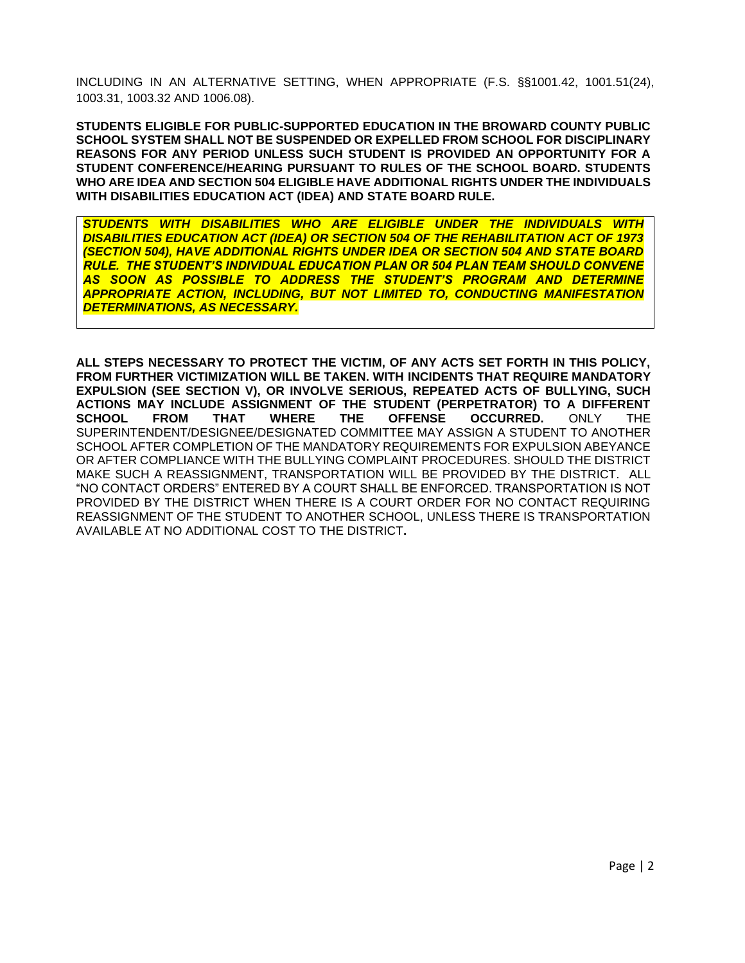INCLUDING IN AN ALTERNATIVE SETTING, WHEN APPROPRIATE (F.S. §§1001.42, 1001.51(24), 1003.31, 1003.32 AND 1006.08).

**STUDENTS ELIGIBLE FOR PUBLIC-SUPPORTED EDUCATION IN THE BROWARD COUNTY PUBLIC SCHOOL SYSTEM SHALL NOT BE SUSPENDED OR EXPELLED FROM SCHOOL FOR DISCIPLINARY REASONS FOR ANY PERIOD UNLESS SUCH STUDENT IS PROVIDED AN OPPORTUNITY FOR A STUDENT CONFERENCE/HEARING PURSUANT TO RULES OF THE SCHOOL BOARD. STUDENTS WHO ARE IDEA AND SECTION 504 ELIGIBLE HAVE ADDITIONAL RIGHTS UNDER THE INDIVIDUALS WITH DISABILITIES EDUCATION ACT (IDEA) AND STATE BOARD RULE.** 

*STUDENTS WITH DISABILITIES WHO ARE ELIGIBLE UNDER THE INDIVIDUALS WITH DISABILITIES EDUCATION ACT (IDEA) OR SECTION 504 OF THE REHABILITATION ACT OF 1973 (SECTION 504), HAVE ADDITIONAL RIGHTS UNDER IDEA OR SECTION 504 AND STATE BOARD RULE. THE STUDENT'S INDIVIDUAL EDUCATION PLAN OR 504 PLAN TEAM SHOULD CONVENE AS SOON AS POSSIBLE TO ADDRESS THE STUDENT'S PROGRAM AND DETERMINE APPROPRIATE ACTION, INCLUDING, BUT NOT LIMITED TO, CONDUCTING MANIFESTATION DETERMINATIONS, AS NECESSARY.*

**ALL STEPS NECESSARY TO PROTECT THE VICTIM, OF ANY ACTS SET FORTH IN THIS POLICY, FROM FURTHER VICTIMIZATION WILL BE TAKEN. WITH INCIDENTS THAT REQUIRE MANDATORY EXPULSION (SEE SECTION V), OR INVOLVE SERIOUS, REPEATED ACTS OF BULLYING, SUCH ACTIONS MAY INCLUDE ASSIGNMENT OF THE STUDENT (PERPETRATOR) TO A DIFFERENT SCHOOL FROM THAT WHERE THE OFFENSE OCCURRED.** ONLY THE SUPERINTENDENT/DESIGNEE/DESIGNATED COMMITTEE MAY ASSIGN A STUDENT TO ANOTHER SCHOOL AFTER COMPLETION OF THE MANDATORY REQUIREMENTS FOR EXPULSION ABEYANCE OR AFTER COMPLIANCE WITH THE BULLYING COMPLAINT PROCEDURES. SHOULD THE DISTRICT MAKE SUCH A REASSIGNMENT, TRANSPORTATION WILL BE PROVIDED BY THE DISTRICT. ALL "NO CONTACT ORDERS" ENTERED BY A COURT SHALL BE ENFORCED. TRANSPORTATION IS NOT PROVIDED BY THE DISTRICT WHEN THERE IS A COURT ORDER FOR NO CONTACT REQUIRING REASSIGNMENT OF THE STUDENT TO ANOTHER SCHOOL, UNLESS THERE IS TRANSPORTATION AVAILABLE AT NO ADDITIONAL COST TO THE DISTRICT**.**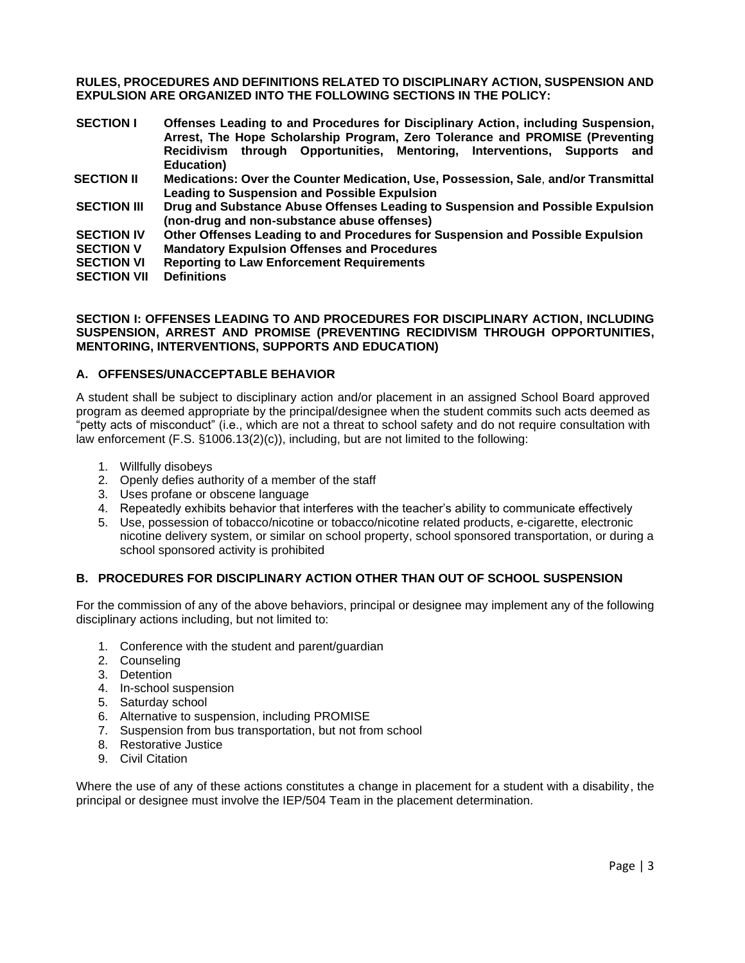**RULES, PROCEDURES AND DEFINITIONS RELATED TO DISCIPLINARY ACTION, SUSPENSION AND EXPULSION ARE ORGANIZED INTO THE FOLLOWING SECTIONS IN THE POLICY:** 

- **SECTION I Offenses Leading to and Procedures for Disciplinary Action, including Suspension, Arrest, The Hope Scholarship Program, Zero Tolerance and PROMISE (Preventing Recidivism through Opportunities, Mentoring, Interventions, Supports and Education)**
- **SECTION II Medications: Over the Counter Medication, Use, Possession, Sale**, **and/or Transmittal Leading to Suspension and Possible Expulsion**
- **SECTION III Drug and Substance Abuse Offenses Leading to Suspension and Possible Expulsion (non-drug and non-substance abuse offenses)**
- **SECTION IV Other Offenses Leading to and Procedures for Suspension and Possible Expulsion**
- **SECTION V Mandatory Expulsion Offenses and Procedures**
- **SECTION VI Reporting to Law Enforcement Requirements**
- **SECTION VII Definitions**

### **SECTION I: OFFENSES LEADING TO AND PROCEDURES FOR DISCIPLINARY ACTION, INCLUDING SUSPENSION, ARREST AND PROMISE (PREVENTING RECIDIVISM THROUGH OPPORTUNITIES, MENTORING, INTERVENTIONS, SUPPORTS AND EDUCATION)**

## **A. OFFENSES/UNACCEPTABLE BEHAVIOR**

A student shall be subject to disciplinary action and/or placement in an assigned School Board approved program as deemed appropriate by the principal/designee when the student commits such acts deemed as "petty acts of misconduct" (i.e., which are not a threat to school safety and do not require consultation with law enforcement (F.S. §1006.13(2)(c)), including, but are not limited to the following:

- 1. Willfully disobeys
- 2. Openly defies authority of a member of the staff
- 3. Uses profane or obscene language
- 4. Repeatedly exhibits behavior that interferes with the teacher's ability to communicate effectively
- 5. Use, possession of tobacco/nicotine or tobacco/nicotine related products, e-cigarette, electronic nicotine delivery system, or similar on school property, school sponsored transportation, or during a school sponsored activity is prohibited

### **B. PROCEDURES FOR DISCIPLINARY ACTION OTHER THAN OUT OF SCHOOL SUSPENSION**

For the commission of any of the above behaviors, principal or designee may implement any of the following disciplinary actions including, but not limited to:

- 1. Conference with the student and parent/guardian
- 2. Counseling
- 3. Detention
- 4. In-school suspension
- 5. Saturday school
- 6. Alternative to suspension, including PROMISE
- 7. Suspension from bus transportation, but not from school
- 8. Restorative Justice
- 9. Civil Citation

Where the use of any of these actions constitutes a change in placement for a student with a disability, the principal or designee must involve the IEP/504 Team in the placement determination.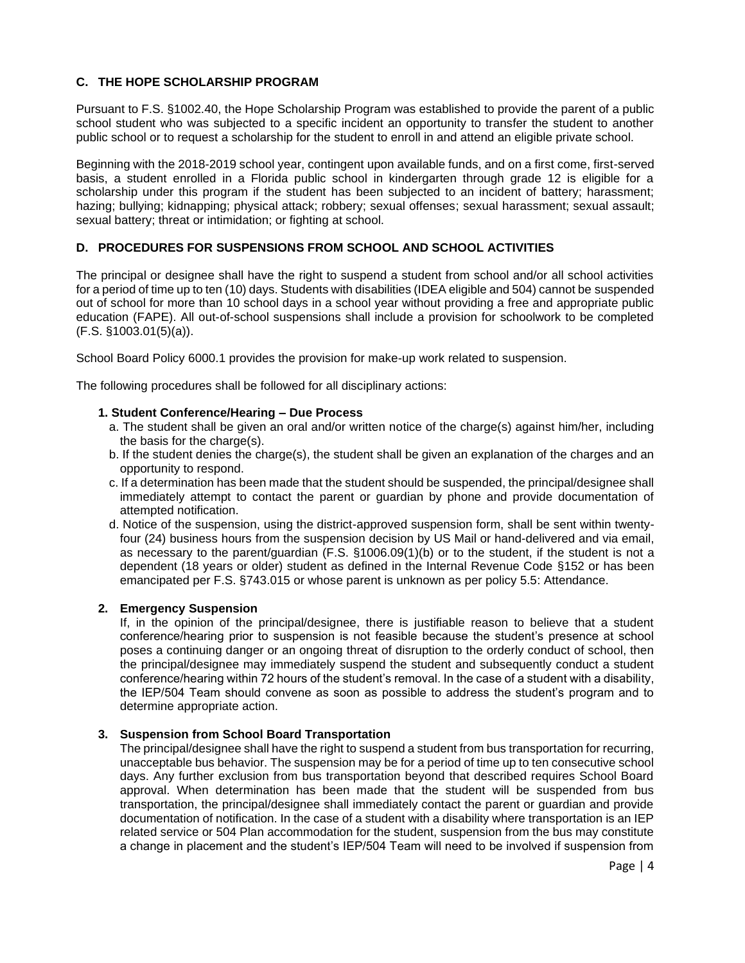# **C. THE HOPE SCHOLARSHIP PROGRAM**

Pursuant to F.S. §1002.40, the Hope Scholarship Program was established to provide the parent of a public school student who was subjected to a specific incident an opportunity to transfer the student to another public school or to request a scholarship for the student to enroll in and attend an eligible private school.

Beginning with the 2018-2019 school year, contingent upon available funds, and on a first come, first-served basis, a student enrolled in a Florida public school in kindergarten through grade 12 is eligible for a scholarship under this program if the student has been subjected to an incident of battery; harassment; hazing; bullying; kidnapping; physical attack; robbery; sexual offenses; sexual harassment; sexual assault; sexual battery; threat or intimidation; or fighting at school.

# **D. PROCEDURES FOR SUSPENSIONS FROM SCHOOL AND SCHOOL ACTIVITIES**

The principal or designee shall have the right to suspend a student from school and/or all school activities for a period of time up to ten (10) days. Students with disabilities (IDEA eligible and 504) cannot be suspended out of school for more than 10 school days in a school year without providing a free and appropriate public education (FAPE). All out-of-school suspensions shall include a provision for schoolwork to be completed (F.S. §1003.01(5)(a)).

School Board Policy 6000.1 provides the provision for make-up work related to suspension.

The following procedures shall be followed for all disciplinary actions:

## **1. Student Conference/Hearing – Due Process**

- a. The student shall be given an oral and/or written notice of the charge(s) against him/her, including the basis for the charge(s).
- b. If the student denies the charge(s), the student shall be given an explanation of the charges and an opportunity to respond.
- c. If a determination has been made that the student should be suspended, the principal/designee shall immediately attempt to contact the parent or guardian by phone and provide documentation of attempted notification.
- d. Notice of the suspension, using the district-approved suspension form, shall be sent within twentyfour (24) business hours from the suspension decision by US Mail or hand-delivered and via email, as necessary to the parent/guardian (F.S. §1006.09(1)(b) or to the student, if the student is not a dependent (18 years or older) student as defined in the Internal Revenue Code §152 or has been emancipated per F.S. §743.015 or whose parent is unknown as per policy 5.5: Attendance.

### **2. Emergency Suspension**

If, in the opinion of the principal/designee, there is justifiable reason to believe that a student conference/hearing prior to suspension is not feasible because the student's presence at school poses a continuing danger or an ongoing threat of disruption to the orderly conduct of school, then the principal/designee may immediately suspend the student and subsequently conduct a student conference/hearing within 72 hours of the student's removal. In the case of a student with a disability, the IEP/504 Team should convene as soon as possible to address the student's program and to determine appropriate action.

### **3. Suspension from School Board Transportation**

The principal/designee shall have the right to suspend a student from bus transportation for recurring, unacceptable bus behavior. The suspension may be for a period of time up to ten consecutive school days. Any further exclusion from bus transportation beyond that described requires School Board approval. When determination has been made that the student will be suspended from bus transportation, the principal/designee shall immediately contact the parent or guardian and provide documentation of notification. In the case of a student with a disability where transportation is an IEP related service or 504 Plan accommodation for the student, suspension from the bus may constitute a change in placement and the student's IEP/504 Team will need to be involved if suspension from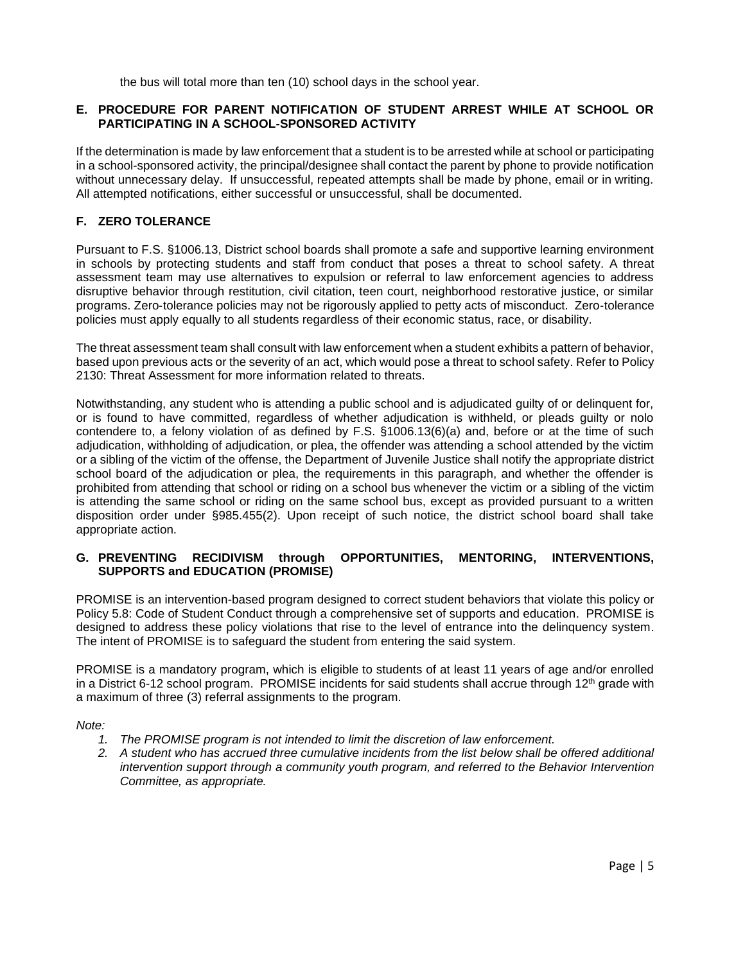the bus will total more than ten (10) school days in the school year.

## **E. PROCEDURE FOR PARENT NOTIFICATION OF STUDENT ARREST WHILE AT SCHOOL OR PARTICIPATING IN A SCHOOL-SPONSORED ACTIVITY**

If the determination is made by law enforcement that a student is to be arrested while at school or participating in a school-sponsored activity, the principal/designee shall contact the parent by phone to provide notification without unnecessary delay. If unsuccessful, repeated attempts shall be made by phone, email or in writing. All attempted notifications, either successful or unsuccessful, shall be documented.

# **F. ZERO TOLERANCE**

Pursuant to F.S. §1006.13, District school boards shall promote a safe and supportive learning environment in schools by protecting students and staff from conduct that poses a threat to school safety. A threat assessment team may use alternatives to expulsion or referral to law enforcement agencies to address disruptive behavior through restitution, civil citation, teen court, neighborhood restorative justice, or similar programs. Zero‐tolerance policies may not be rigorously applied to petty acts of misconduct. Zero‐tolerance policies must apply equally to all students regardless of their economic status, race, or disability.

The threat assessment team shall consult with law enforcement when a student exhibits a pattern of behavior, based upon previous acts or the severity of an act, which would pose a threat to school safety. Refer to Policy 2130: Threat Assessment for more information related to threats.

Notwithstanding, any student who is attending a public school and is adjudicated guilty of or delinquent for, or is found to have committed, regardless of whether adjudication is withheld, or pleads guilty or nolo contendere to, a felony violation of as defined by F.S. §1006.13(6)(a) and, before or at the time of such adjudication, withholding of adjudication, or plea, the offender was attending a school attended by the victim or a sibling of the victim of the offense, the Department of Juvenile Justice shall notify the appropriate district school board of the adjudication or plea, the requirements in this paragraph, and whether the offender is prohibited from attending that school or riding on a school bus whenever the victim or a sibling of the victim is attending the same school or riding on the same school bus, except as provided pursuant to a written disposition order under §985.455(2). Upon receipt of such notice, the district school board shall take appropriate action.

## **G. PREVENTING RECIDIVISM through OPPORTUNITIES, MENTORING, INTERVENTIONS, SUPPORTS and EDUCATION (PROMISE)**

PROMISE is an intervention-based program designed to correct student behaviors that violate this policy or Policy 5.8: Code of Student Conduct through a comprehensive set of supports and education. PROMISE is designed to address these policy violations that rise to the level of entrance into the delinquency system. The intent of PROMISE is to safeguard the student from entering the said system.

PROMISE is a mandatory program, which is eligible to students of at least 11 years of age and/or enrolled in a District 6-12 school program. PROMISE incidents for said students shall accrue through  $12<sup>th</sup>$  grade with a maximum of three (3) referral assignments to the program.

*Note:* 

- *1. The PROMISE program is not intended to limit the discretion of law enforcement.*
- *2. A student who has accrued three cumulative incidents from the list below shall be offered additional intervention support through a community youth program, and referred to the Behavior Intervention Committee, as appropriate.*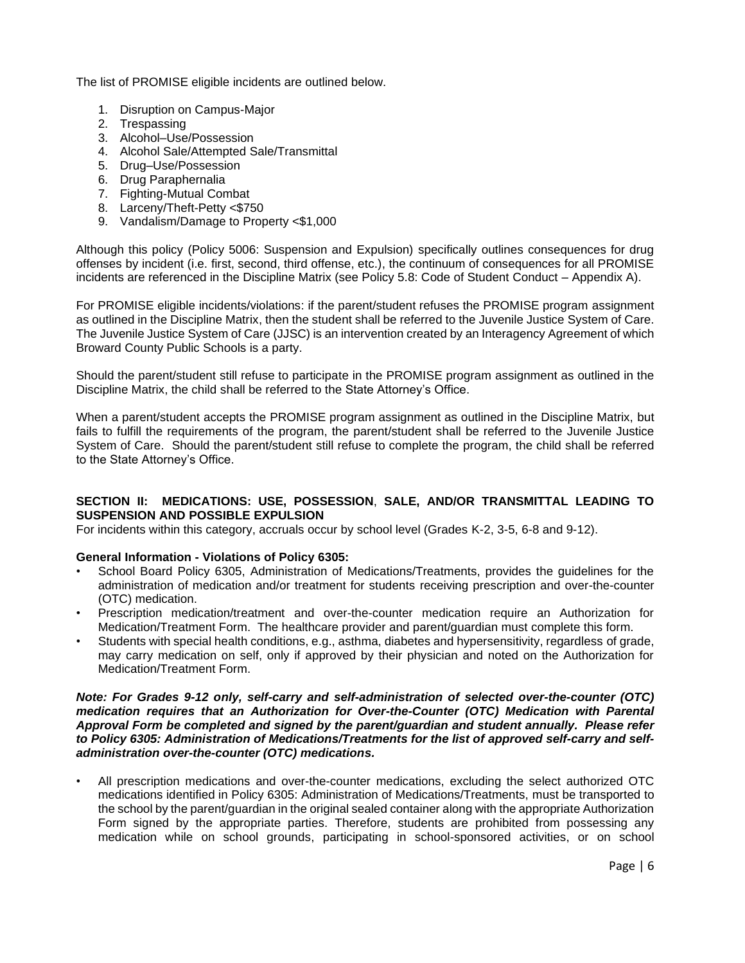The list of PROMISE eligible incidents are outlined below.

- 1. Disruption on Campus-Major
- 2. Trespassing
- 3. Alcohol–Use/Possession
- 4. Alcohol Sale/Attempted Sale/Transmittal
- 5. Drug–Use/Possession
- 6. Drug Paraphernalia
- 7. Fighting-Mutual Combat
- 8. Larceny/Theft-Petty <\$750
- 9. Vandalism/Damage to Property <\$1,000

Although this policy (Policy 5006: Suspension and Expulsion) specifically outlines consequences for drug offenses by incident (i.e. first, second, third offense, etc.), the continuum of consequences for all PROMISE incidents are referenced in the Discipline Matrix (see Policy 5.8: Code of Student Conduct – Appendix A).

For PROMISE eligible incidents/violations: if the parent/student refuses the PROMISE program assignment as outlined in the Discipline Matrix, then the student shall be referred to the Juvenile Justice System of Care. The Juvenile Justice System of Care (JJSC) is an intervention created by an Interagency Agreement of which Broward County Public Schools is a party.

Should the parent/student still refuse to participate in the PROMISE program assignment as outlined in the Discipline Matrix, the child shall be referred to the State Attorney's Office.

When a parent/student accepts the PROMISE program assignment as outlined in the Discipline Matrix, but fails to fulfill the requirements of the program, the parent/student shall be referred to the Juvenile Justice System of Care. Should the parent/student still refuse to complete the program, the child shall be referred to the State Attorney's Office.

## **SECTION II: MEDICATIONS: USE, POSSESSION**, **SALE, AND/OR TRANSMITTAL LEADING TO SUSPENSION AND POSSIBLE EXPULSION**

For incidents within this category, accruals occur by school level (Grades K-2, 3-5, 6-8 and 9-12).

### **General Information - Violations of Policy 6305:**

- School Board Policy 6305, Administration of Medications/Treatments, provides the guidelines for the administration of medication and/or treatment for students receiving prescription and over-the-counter (OTC) medication.
- Prescription medication/treatment and over-the-counter medication require an Authorization for Medication/Treatment Form. The healthcare provider and parent/guardian must complete this form.
- Students with special health conditions, e.g., asthma, diabetes and hypersensitivity, regardless of grade, may carry medication on self, only if approved by their physician and noted on the Authorization for Medication/Treatment Form.

#### *Note: For Grades 9-12 only, self-carry and self-administration of selected over-the-counter (OTC) medication requires that an Authorization for Over-the-Counter (OTC) Medication with Parental Approval Form be completed and signed by the parent/guardian and student annually. Please refer to Policy 6305: Administration of Medications/Treatments for the list of approved self-carry and selfadministration over-the-counter (OTC) medications.*

• All prescription medications and over-the-counter medications, excluding the select authorized OTC medications identified in Policy 6305: Administration of Medications/Treatments, must be transported to the school by the parent/guardian in the original sealed container along with the appropriate Authorization Form signed by the appropriate parties. Therefore, students are prohibited from possessing any medication while on school grounds, participating in school-sponsored activities, or on school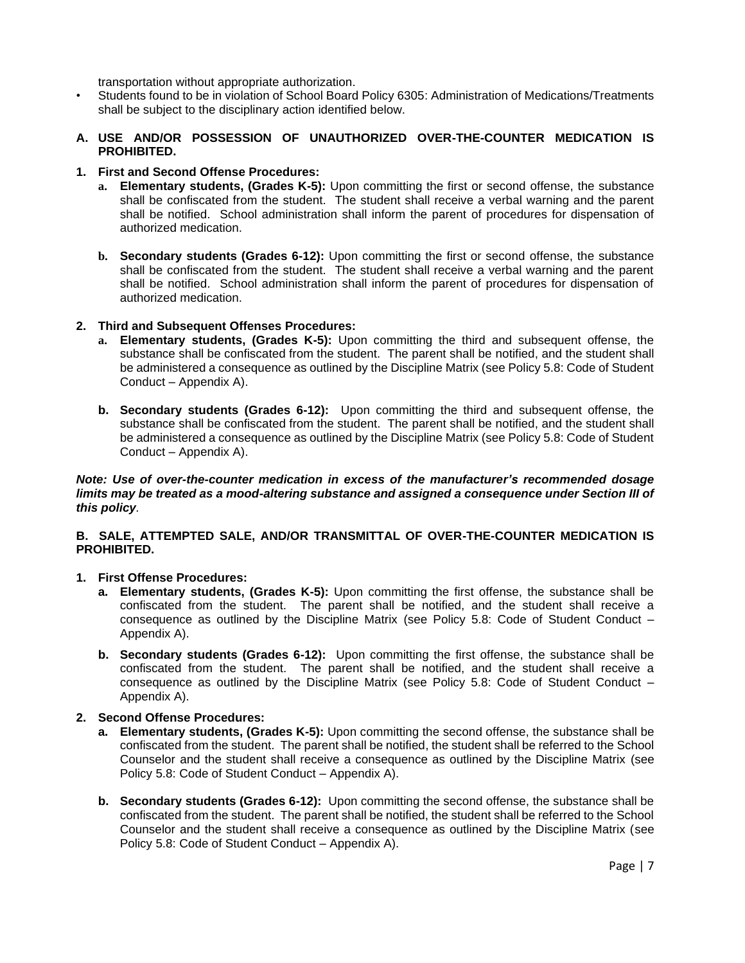transportation without appropriate authorization.

- Students found to be in violation of School Board Policy 6305: Administration of Medications/Treatments shall be subject to the disciplinary action identified below.
- **A. USE AND/OR POSSESSION OF UNAUTHORIZED OVER-THE-COUNTER MEDICATION IS PROHIBITED.**
- **1. First and Second Offense Procedures:** 
	- **a. Elementary students, (Grades K-5):** Upon committing the first or second offense, the substance shall be confiscated from the student. The student shall receive a verbal warning and the parent shall be notified. School administration shall inform the parent of procedures for dispensation of authorized medication.
	- **b. Secondary students (Grades 6-12):** Upon committing the first or second offense, the substance shall be confiscated from the student. The student shall receive a verbal warning and the parent shall be notified. School administration shall inform the parent of procedures for dispensation of authorized medication.
- **2. Third and Subsequent Offenses Procedures:** 
	- **a. Elementary students, (Grades K-5):** Upon committing the third and subsequent offense, the substance shall be confiscated from the student. The parent shall be notified, and the student shall be administered a consequence as outlined by the Discipline Matrix (see Policy 5.8: Code of Student Conduct – Appendix A).
	- **b. Secondary students (Grades 6-12):** Upon committing the third and subsequent offense, the substance shall be confiscated from the student. The parent shall be notified, and the student shall be administered a consequence as outlined by the Discipline Matrix (see Policy 5.8: Code of Student Conduct – Appendix A).

*Note: Use of over-the-counter medication in excess of the manufacturer's recommended dosage limits may be treated as a mood-altering substance and assigned a consequence under Section III of this policy.*

## **B. SALE, ATTEMPTED SALE, AND/OR TRANSMITTAL OF OVER-THE-COUNTER MEDICATION IS PROHIBITED.**

### **1. First Offense Procedures:**

- **a. Elementary students, (Grades K-5):** Upon committing the first offense, the substance shall be confiscated from the student. The parent shall be notified, and the student shall receive a consequence as outlined by the Discipline Matrix (see Policy 5.8: Code of Student Conduct – Appendix A).
- **b. Secondary students (Grades 6-12):** Upon committing the first offense, the substance shall be confiscated from the student. The parent shall be notified, and the student shall receive a consequence as outlined by the Discipline Matrix (see Policy 5.8: Code of Student Conduct – Appendix A).

### **2. Second Offense Procedures:**

- **a. Elementary students, (Grades K-5):** Upon committing the second offense, the substance shall be confiscated from the student. The parent shall be notified, the student shall be referred to the School Counselor and the student shall receive a consequence as outlined by the Discipline Matrix (see Policy 5.8: Code of Student Conduct – Appendix A).
- **b. Secondary students (Grades 6-12):** Upon committing the second offense, the substance shall be confiscated from the student. The parent shall be notified, the student shall be referred to the School Counselor and the student shall receive a consequence as outlined by the Discipline Matrix (see Policy 5.8: Code of Student Conduct – Appendix A).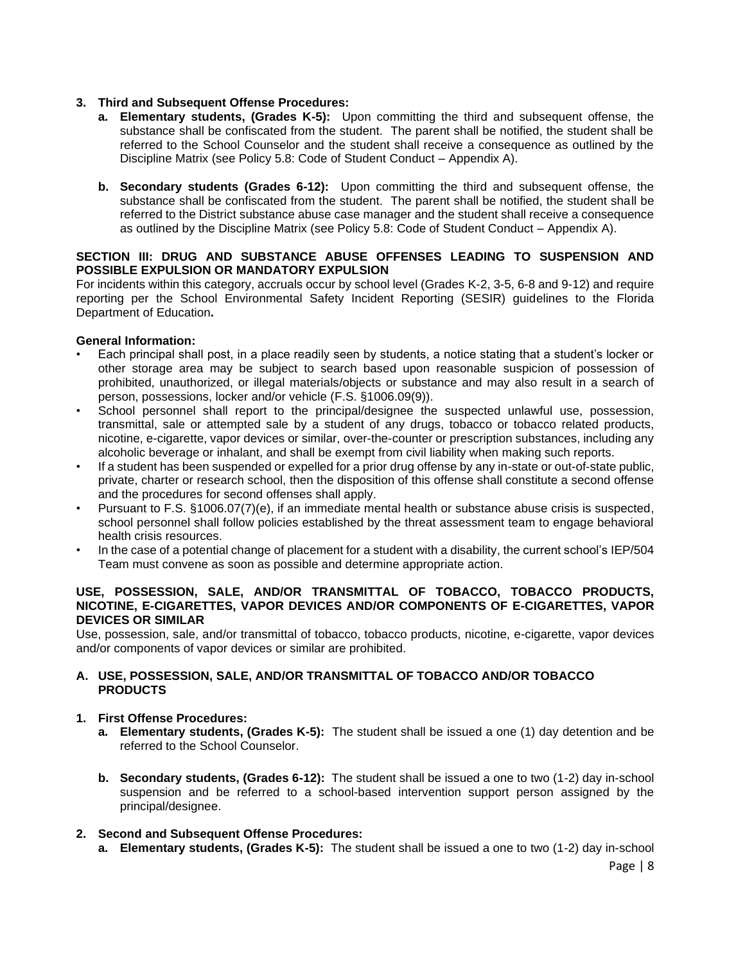## **3. Third and Subsequent Offense Procedures:**

- **a. Elementary students, (Grades K-5):** Upon committing the third and subsequent offense, the substance shall be confiscated from the student. The parent shall be notified, the student shall be referred to the School Counselor and the student shall receive a consequence as outlined by the Discipline Matrix (see Policy 5.8: Code of Student Conduct – Appendix A).
- **b. Secondary students (Grades 6-12):** Upon committing the third and subsequent offense, the substance shall be confiscated from the student. The parent shall be notified, the student shall be referred to the District substance abuse case manager and the student shall receive a consequence as outlined by the Discipline Matrix (see Policy 5.8: Code of Student Conduct – Appendix A).

### **SECTION III: DRUG AND SUBSTANCE ABUSE OFFENSES LEADING TO SUSPENSION AND POSSIBLE EXPULSION OR MANDATORY EXPULSION**

For incidents within this category, accruals occur by school level (Grades K-2, 3-5, 6-8 and 9-12) and require reporting per the School Environmental Safety Incident Reporting (SESIR) guidelines to the Florida Department of Education**.**

## **General Information:**

- Each principal shall post, in a place readily seen by students, a notice stating that a student's locker or other storage area may be subject to search based upon reasonable suspicion of possession of prohibited, unauthorized, or illegal materials/objects or substance and may also result in a search of person, possessions, locker and/or vehicle (F.S. §1006.09(9)).
- School personnel shall report to the principal/designee the suspected unlawful use, possession, transmittal, sale or attempted sale by a student of any drugs, tobacco or tobacco related products, nicotine, e-cigarette, vapor devices or similar, over-the-counter or prescription substances, including any alcoholic beverage or inhalant, and shall be exempt from civil liability when making such reports.
- If a student has been suspended or expelled for a prior drug offense by any in-state or out-of-state public, private, charter or research school, then the disposition of this offense shall constitute a second offense and the procedures for second offenses shall apply.
- Pursuant to F.S. §1006.07(7)(e), if an immediate mental health or substance abuse crisis is suspected, school personnel shall follow policies established by the threat assessment team to engage behavioral health crisis resources.
- In the case of a potential change of placement for a student with a disability, the current school's IEP/504 Team must convene as soon as possible and determine appropriate action.

#### **USE, POSSESSION, SALE, AND/OR TRANSMITTAL OF TOBACCO, TOBACCO PRODUCTS, NICOTINE, E-CIGARETTES, VAPOR DEVICES AND/OR COMPONENTS OF E-CIGARETTES, VAPOR DEVICES OR SIMILAR**

Use, possession, sale, and/or transmittal of tobacco, tobacco products, nicotine, e-cigarette, vapor devices and/or components of vapor devices or similar are prohibited.

### **A. USE, POSSESSION, SALE, AND/OR TRANSMITTAL OF TOBACCO AND/OR TOBACCO PRODUCTS**

### **1. First Offense Procedures:**

- **a. Elementary students, (Grades K-5):** The student shall be issued a one (1) day detention and be referred to the School Counselor.
- **b. Secondary students, (Grades 6-12):** The student shall be issued a one to two (1-2) day in-school suspension and be referred to a school-based intervention support person assigned by the principal/designee.

### **2. Second and Subsequent Offense Procedures:**

**a. Elementary students, (Grades K-5):** The student shall be issued a one to two (1-2) day in-school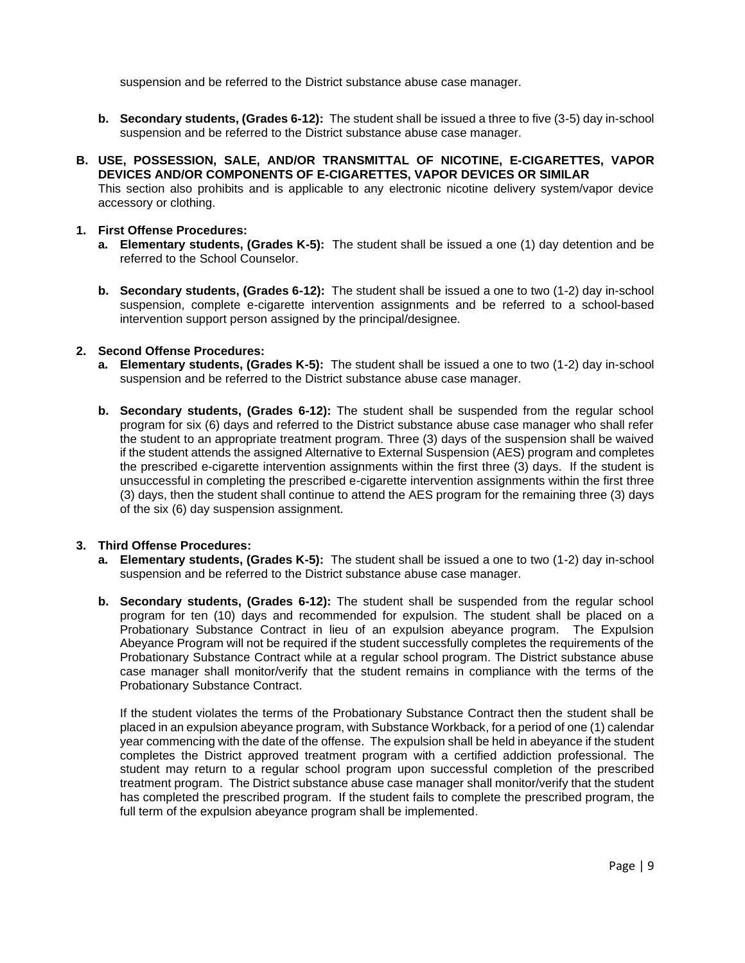suspension and be referred to the District substance abuse case manager.

- **b. Secondary students, (Grades 6-12):** The student shall be issued a three to five (3-5) day in-school suspension and be referred to the District substance abuse case manager.
- **B. USE, POSSESSION, SALE, AND/OR TRANSMITTAL OF NICOTINE, E-CIGARETTES, VAPOR DEVICES AND/OR COMPONENTS OF E-CIGARETTES, VAPOR DEVICES OR SIMILAR**

This section also prohibits and is applicable to any electronic nicotine delivery system/vapor device accessory or clothing.

### **1. First Offense Procedures:**

- **a. Elementary students, (Grades K-5):** The student shall be issued a one (1) day detention and be referred to the School Counselor.
- **b. Secondary students, (Grades 6-12):** The student shall be issued a one to two (1-2) day in-school suspension, complete e-cigarette intervention assignments and be referred to a school-based intervention support person assigned by the principal/designee.

### **2. Second Offense Procedures:**

- **a. Elementary students, (Grades K-5):** The student shall be issued a one to two (1-2) day in-school suspension and be referred to the District substance abuse case manager.
- **b. Secondary students, (Grades 6-12):** The student shall be suspended from the regular school program for six (6) days and referred to the District substance abuse case manager who shall refer the student to an appropriate treatment program. Three (3) days of the suspension shall be waived if the student attends the assigned Alternative to External Suspension (AES) program and completes the prescribed e-cigarette intervention assignments within the first three (3) days. If the student is unsuccessful in completing the prescribed e-cigarette intervention assignments within the first three (3) days, then the student shall continue to attend the AES program for the remaining three (3) days of the six (6) day suspension assignment.

### **3. Third Offense Procedures:**

- **a. Elementary students, (Grades K-5):** The student shall be issued a one to two (1-2) day in-school suspension and be referred to the District substance abuse case manager.
- **b. Secondary students, (Grades 6-12):** The student shall be suspended from the regular school program for ten (10) days and recommended for expulsion. The student shall be placed on a Probationary Substance Contract in lieu of an expulsion abeyance program. The Expulsion Abeyance Program will not be required if the student successfully completes the requirements of the Probationary Substance Contract while at a regular school program. The District substance abuse case manager shall monitor/verify that the student remains in compliance with the terms of the Probationary Substance Contract.

If the student violates the terms of the Probationary Substance Contract then the student shall be placed in an expulsion abeyance program, with Substance Workback, for a period of one (1) calendar year commencing with the date of the offense. The expulsion shall be held in abeyance if the student completes the District approved treatment program with a certified addiction professional. The student may return to a regular school program upon successful completion of the prescribed treatment program. The District substance abuse case manager shall monitor/verify that the student has completed the prescribed program. If the student fails to complete the prescribed program, the full term of the expulsion abeyance program shall be implemented.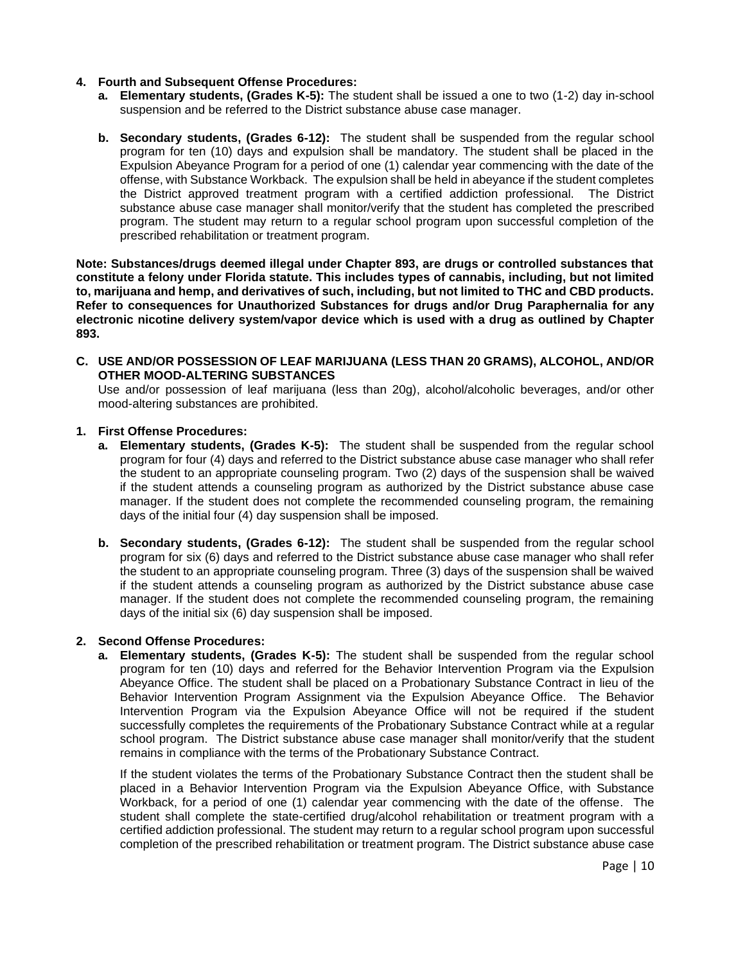### **4. Fourth and Subsequent Offense Procedures:**

- **a. Elementary students, (Grades K-5):** The student shall be issued a one to two (1-2) day in-school suspension and be referred to the District substance abuse case manager.
- **b. Secondary students, (Grades 6-12):** The student shall be suspended from the regular school program for ten (10) days and expulsion shall be mandatory. The student shall be placed in the Expulsion Abeyance Program for a period of one (1) calendar year commencing with the date of the offense, with Substance Workback. The expulsion shall be held in abeyance if the student completes the District approved treatment program with a certified addiction professional. The District substance abuse case manager shall monitor/verify that the student has completed the prescribed program. The student may return to a regular school program upon successful completion of the prescribed rehabilitation or treatment program.

**Note: Substances/drugs deemed illegal under Chapter 893, are drugs or controlled substances that constitute a felony under Florida statute. This includes types of cannabis, including, but not limited to, marijuana and hemp, and derivatives of such, including, but not limited to THC and CBD products. Refer to consequences for Unauthorized Substances for drugs and/or Drug Paraphernalia for any electronic nicotine delivery system/vapor device which is used with a drug as outlined by Chapter 893.** 

**C. USE AND/OR POSSESSION OF LEAF MARIJUANA (LESS THAN 20 GRAMS), ALCOHOL, AND/OR OTHER MOOD-ALTERING SUBSTANCES**

Use and/or possession of leaf marijuana (less than 20g), alcohol/alcoholic beverages, and/or other mood-altering substances are prohibited.

### **1. First Offense Procedures:**

- **a. Elementary students, (Grades K-5):** The student shall be suspended from the regular school program for four (4) days and referred to the District substance abuse case manager who shall refer the student to an appropriate counseling program. Two (2) days of the suspension shall be waived if the student attends a counseling program as authorized by the District substance abuse case manager. If the student does not complete the recommended counseling program, the remaining days of the initial four (4) day suspension shall be imposed.
- **b. Secondary students, (Grades 6-12):** The student shall be suspended from the regular school program for six (6) days and referred to the District substance abuse case manager who shall refer the student to an appropriate counseling program. Three (3) days of the suspension shall be waived if the student attends a counseling program as authorized by the District substance abuse case manager. If the student does not complete the recommended counseling program, the remaining days of the initial six (6) day suspension shall be imposed.

### **2. Second Offense Procedures:**

**a. Elementary students, (Grades K-5):** The student shall be suspended from the regular school program for ten (10) days and referred for the Behavior Intervention Program via the Expulsion Abeyance Office. The student shall be placed on a Probationary Substance Contract in lieu of the Behavior Intervention Program Assignment via the Expulsion Abeyance Office. The Behavior Intervention Program via the Expulsion Abeyance Office will not be required if the student successfully completes the requirements of the Probationary Substance Contract while at a regular school program. The District substance abuse case manager shall monitor/verify that the student remains in compliance with the terms of the Probationary Substance Contract.

If the student violates the terms of the Probationary Substance Contract then the student shall be placed in a Behavior Intervention Program via the Expulsion Abeyance Office, with Substance Workback, for a period of one (1) calendar year commencing with the date of the offense. The student shall complete the state-certified drug/alcohol rehabilitation or treatment program with a certified addiction professional. The student may return to a regular school program upon successful completion of the prescribed rehabilitation or treatment program. The District substance abuse case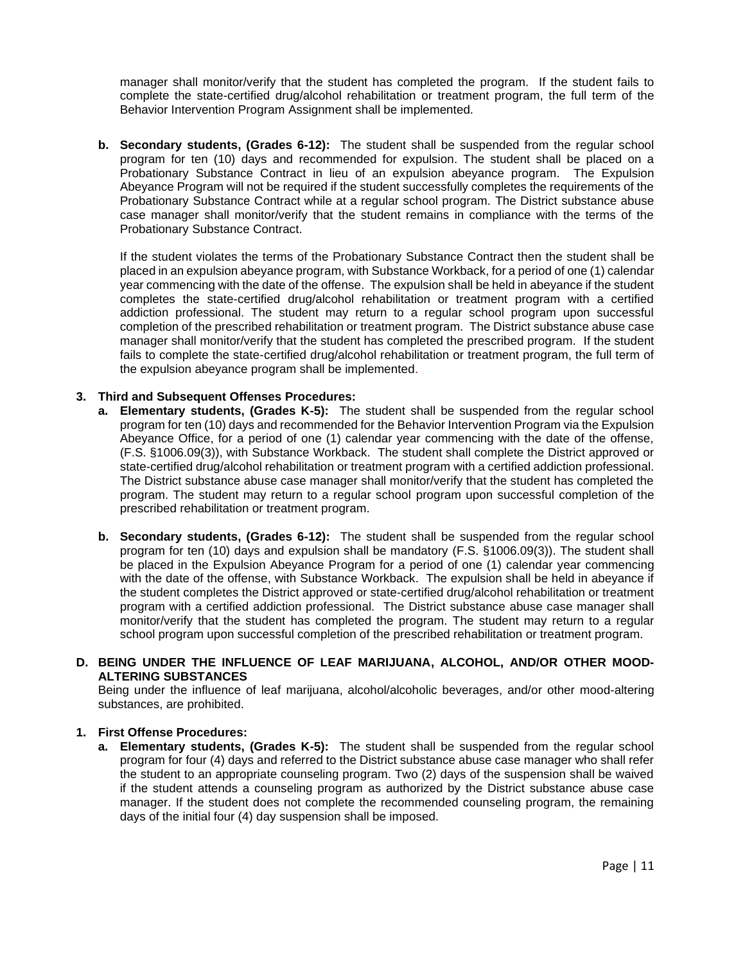manager shall monitor/verify that the student has completed the program. If the student fails to complete the state-certified drug/alcohol rehabilitation or treatment program, the full term of the Behavior Intervention Program Assignment shall be implemented.

**b. Secondary students, (Grades 6-12):** The student shall be suspended from the regular school program for ten (10) days and recommended for expulsion. The student shall be placed on a Probationary Substance Contract in lieu of an expulsion abeyance program. The Expulsion Abeyance Program will not be required if the student successfully completes the requirements of the Probationary Substance Contract while at a regular school program. The District substance abuse case manager shall monitor/verify that the student remains in compliance with the terms of the Probationary Substance Contract.

If the student violates the terms of the Probationary Substance Contract then the student shall be placed in an expulsion abeyance program, with Substance Workback, for a period of one (1) calendar year commencing with the date of the offense. The expulsion shall be held in abeyance if the student completes the state-certified drug/alcohol rehabilitation or treatment program with a certified addiction professional. The student may return to a regular school program upon successful completion of the prescribed rehabilitation or treatment program. The District substance abuse case manager shall monitor/verify that the student has completed the prescribed program. If the student fails to complete the state-certified drug/alcohol rehabilitation or treatment program, the full term of the expulsion abeyance program shall be implemented.

### **3. Third and Subsequent Offenses Procedures:**

- **a. Elementary students, (Grades K-5):** The student shall be suspended from the regular school program for ten (10) days and recommended for the Behavior Intervention Program via the Expulsion Abeyance Office, for a period of one (1) calendar year commencing with the date of the offense, (F.S. §1006.09(3)), with Substance Workback. The student shall complete the District approved or state-certified drug/alcohol rehabilitation or treatment program with a certified addiction professional. The District substance abuse case manager shall monitor/verify that the student has completed the program. The student may return to a regular school program upon successful completion of the prescribed rehabilitation or treatment program.
- **b. Secondary students, (Grades 6-12):** The student shall be suspended from the regular school program for ten (10) days and expulsion shall be mandatory (F.S. §1006.09(3)). The student shall be placed in the Expulsion Abeyance Program for a period of one (1) calendar year commencing with the date of the offense, with Substance Workback. The expulsion shall be held in abeyance if the student completes the District approved or state-certified drug/alcohol rehabilitation or treatment program with a certified addiction professional. The District substance abuse case manager shall monitor/verify that the student has completed the program. The student may return to a regular school program upon successful completion of the prescribed rehabilitation or treatment program.

### **D. BEING UNDER THE INFLUENCE OF LEAF MARIJUANA, ALCOHOL, AND/OR OTHER MOOD-ALTERING SUBSTANCES**

Being under the influence of leaf marijuana, alcohol/alcoholic beverages, and/or other mood-altering substances, are prohibited.

### **1. First Offense Procedures:**

**a. Elementary students, (Grades K-5):** The student shall be suspended from the regular school program for four (4) days and referred to the District substance abuse case manager who shall refer the student to an appropriate counseling program. Two (2) days of the suspension shall be waived if the student attends a counseling program as authorized by the District substance abuse case manager. If the student does not complete the recommended counseling program, the remaining days of the initial four (4) day suspension shall be imposed.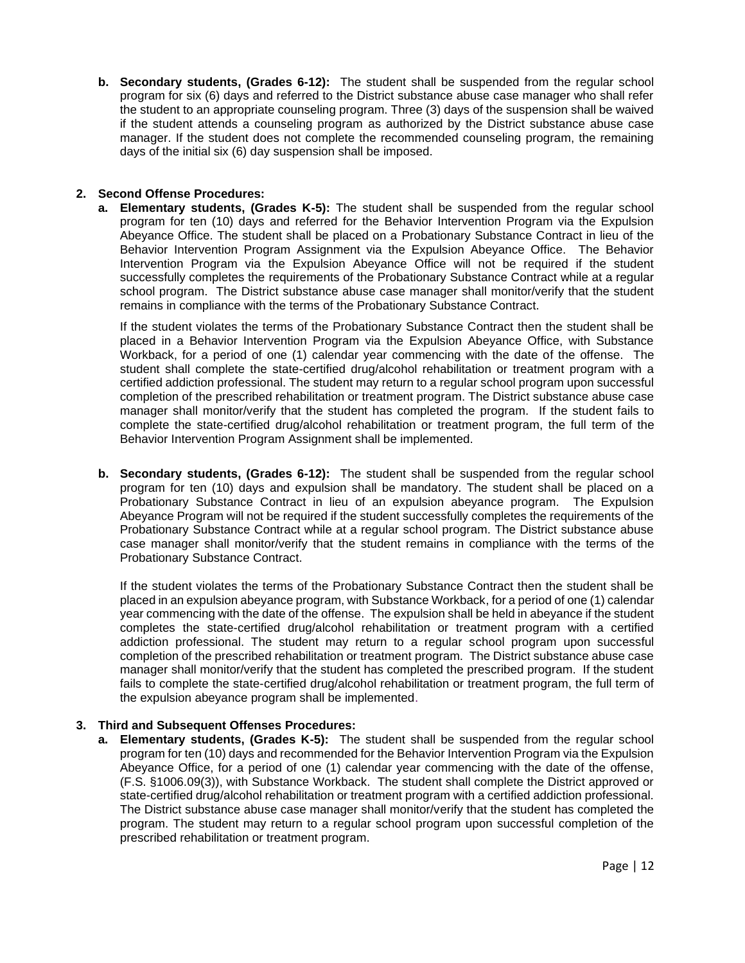**b. Secondary students, (Grades 6-12):** The student shall be suspended from the regular school program for six (6) days and referred to the District substance abuse case manager who shall refer the student to an appropriate counseling program. Three (3) days of the suspension shall be waived if the student attends a counseling program as authorized by the District substance abuse case manager. If the student does not complete the recommended counseling program, the remaining days of the initial six (6) day suspension shall be imposed.

## **2. Second Offense Procedures:**

**a. Elementary students, (Grades K-5):** The student shall be suspended from the regular school program for ten (10) days and referred for the Behavior Intervention Program via the Expulsion Abeyance Office. The student shall be placed on a Probationary Substance Contract in lieu of the Behavior Intervention Program Assignment via the Expulsion Abeyance Office. The Behavior Intervention Program via the Expulsion Abeyance Office will not be required if the student successfully completes the requirements of the Probationary Substance Contract while at a regular school program. The District substance abuse case manager shall monitor/verify that the student remains in compliance with the terms of the Probationary Substance Contract.

If the student violates the terms of the Probationary Substance Contract then the student shall be placed in a Behavior Intervention Program via the Expulsion Abeyance Office, with Substance Workback, for a period of one (1) calendar year commencing with the date of the offense. The student shall complete the state-certified drug/alcohol rehabilitation or treatment program with a certified addiction professional. The student may return to a regular school program upon successful completion of the prescribed rehabilitation or treatment program. The District substance abuse case manager shall monitor/verify that the student has completed the program. If the student fails to complete the state-certified drug/alcohol rehabilitation or treatment program, the full term of the Behavior Intervention Program Assignment shall be implemented.

**b. Secondary students, (Grades 6-12):** The student shall be suspended from the regular school program for ten (10) days and expulsion shall be mandatory. The student shall be placed on a Probationary Substance Contract in lieu of an expulsion abeyance program. The Expulsion Abeyance Program will not be required if the student successfully completes the requirements of the Probationary Substance Contract while at a regular school program. The District substance abuse case manager shall monitor/verify that the student remains in compliance with the terms of the Probationary Substance Contract.

If the student violates the terms of the Probationary Substance Contract then the student shall be placed in an expulsion abeyance program, with Substance Workback, for a period of one (1) calendar year commencing with the date of the offense. The expulsion shall be held in abeyance if the student completes the state-certified drug/alcohol rehabilitation or treatment program with a certified addiction professional. The student may return to a regular school program upon successful completion of the prescribed rehabilitation or treatment program. The District substance abuse case manager shall monitor/verify that the student has completed the prescribed program. If the student fails to complete the state-certified drug/alcohol rehabilitation or treatment program, the full term of the expulsion abeyance program shall be implemented.

# **3. Third and Subsequent Offenses Procedures:**

**a. Elementary students, (Grades K-5):** The student shall be suspended from the regular school program for ten (10) days and recommended for the Behavior Intervention Program via the Expulsion Abeyance Office, for a period of one (1) calendar year commencing with the date of the offense, (F.S. §1006.09(3)), with Substance Workback. The student shall complete the District approved or state-certified drug/alcohol rehabilitation or treatment program with a certified addiction professional. The District substance abuse case manager shall monitor/verify that the student has completed the program. The student may return to a regular school program upon successful completion of the prescribed rehabilitation or treatment program.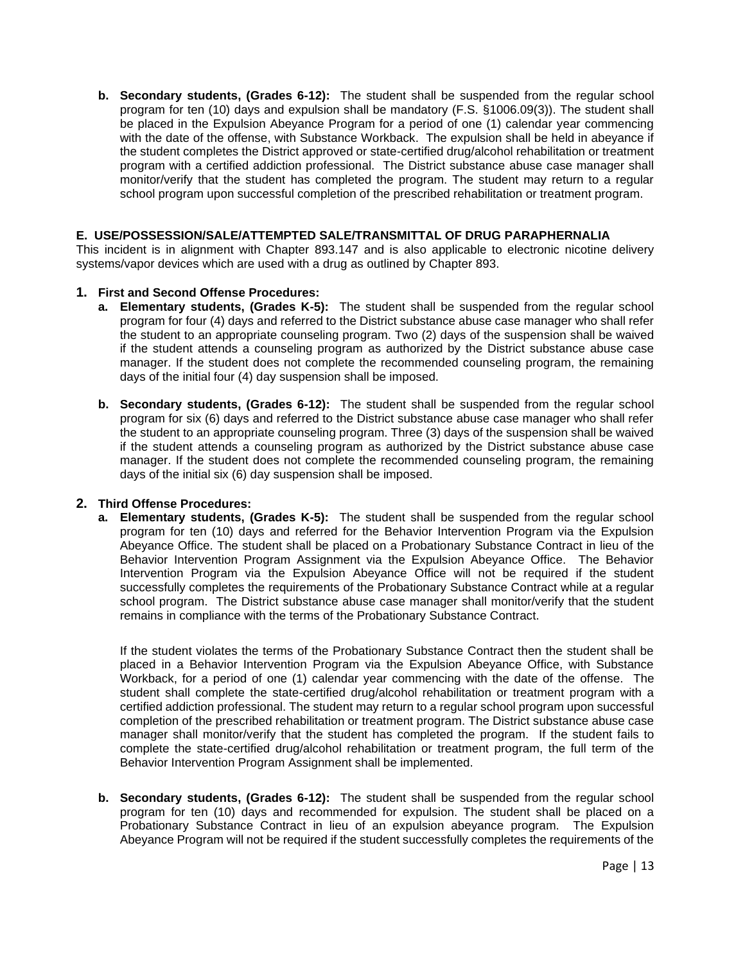**b. Secondary students, (Grades 6-12):** The student shall be suspended from the regular school program for ten (10) days and expulsion shall be mandatory (F.S. §1006.09(3)). The student shall be placed in the Expulsion Abeyance Program for a period of one (1) calendar year commencing with the date of the offense, with Substance Workback. The expulsion shall be held in abeyance if the student completes the District approved or state-certified drug/alcohol rehabilitation or treatment program with a certified addiction professional. The District substance abuse case manager shall monitor/verify that the student has completed the program. The student may return to a regular school program upon successful completion of the prescribed rehabilitation or treatment program.

### **E. USE/POSSESSION/SALE/ATTEMPTED SALE/TRANSMITTAL OF DRUG PARAPHERNALIA**

This incident is in alignment with Chapter 893.147 and is also applicable to electronic nicotine delivery systems/vapor devices which are used with a drug as outlined by Chapter 893.

## **1. First and Second Offense Procedures:**

- **a. Elementary students, (Grades K-5):** The student shall be suspended from the regular school program for four (4) days and referred to the District substance abuse case manager who shall refer the student to an appropriate counseling program. Two (2) days of the suspension shall be waived if the student attends a counseling program as authorized by the District substance abuse case manager. If the student does not complete the recommended counseling program, the remaining days of the initial four (4) day suspension shall be imposed.
- **b. Secondary students, (Grades 6-12):** The student shall be suspended from the regular school program for six (6) days and referred to the District substance abuse case manager who shall refer the student to an appropriate counseling program. Three (3) days of the suspension shall be waived if the student attends a counseling program as authorized by the District substance abuse case manager. If the student does not complete the recommended counseling program, the remaining days of the initial six (6) day suspension shall be imposed.

### **2. Third Offense Procedures:**

**a. Elementary students, (Grades K-5):** The student shall be suspended from the regular school program for ten (10) days and referred for the Behavior Intervention Program via the Expulsion Abeyance Office. The student shall be placed on a Probationary Substance Contract in lieu of the Behavior Intervention Program Assignment via the Expulsion Abeyance Office. The Behavior Intervention Program via the Expulsion Abeyance Office will not be required if the student successfully completes the requirements of the Probationary Substance Contract while at a regular school program. The District substance abuse case manager shall monitor/verify that the student remains in compliance with the terms of the Probationary Substance Contract.

If the student violates the terms of the Probationary Substance Contract then the student shall be placed in a Behavior Intervention Program via the Expulsion Abeyance Office, with Substance Workback, for a period of one (1) calendar year commencing with the date of the offense. The student shall complete the state-certified drug/alcohol rehabilitation or treatment program with a certified addiction professional. The student may return to a regular school program upon successful completion of the prescribed rehabilitation or treatment program. The District substance abuse case manager shall monitor/verify that the student has completed the program. If the student fails to complete the state-certified drug/alcohol rehabilitation or treatment program, the full term of the Behavior Intervention Program Assignment shall be implemented.

**b. Secondary students, (Grades 6-12):** The student shall be suspended from the regular school program for ten (10) days and recommended for expulsion. The student shall be placed on a Probationary Substance Contract in lieu of an expulsion abeyance program. The Expulsion Abeyance Program will not be required if the student successfully completes the requirements of the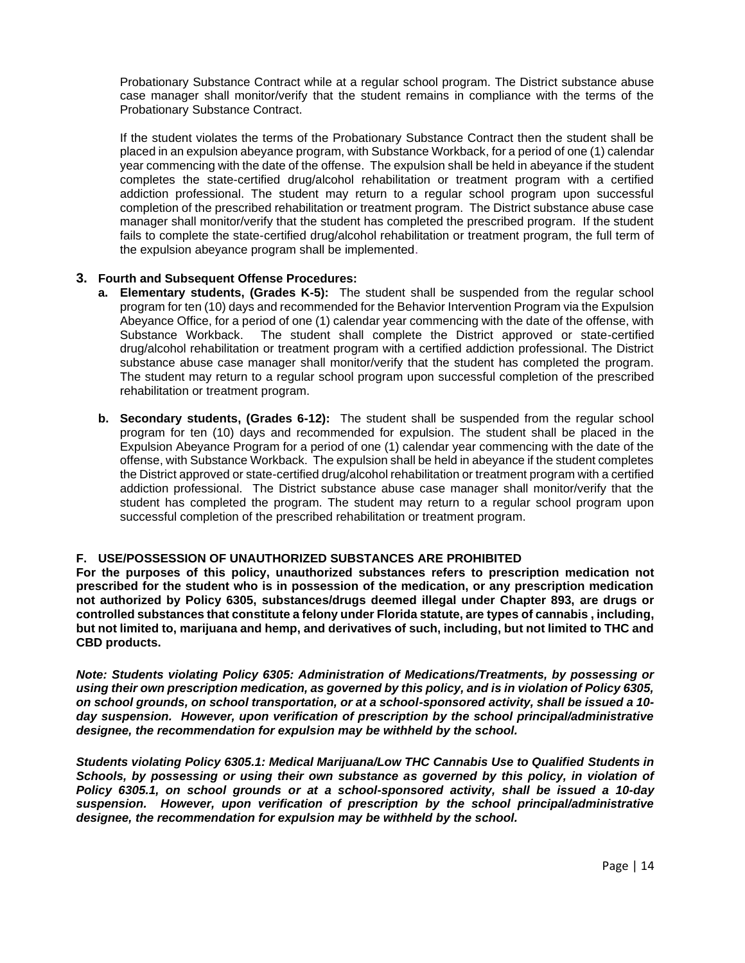Probationary Substance Contract while at a regular school program. The District substance abuse case manager shall monitor/verify that the student remains in compliance with the terms of the Probationary Substance Contract.

If the student violates the terms of the Probationary Substance Contract then the student shall be placed in an expulsion abeyance program, with Substance Workback, for a period of one (1) calendar year commencing with the date of the offense. The expulsion shall be held in abeyance if the student completes the state-certified drug/alcohol rehabilitation or treatment program with a certified addiction professional. The student may return to a regular school program upon successful completion of the prescribed rehabilitation or treatment program. The District substance abuse case manager shall monitor/verify that the student has completed the prescribed program. If the student fails to complete the state-certified drug/alcohol rehabilitation or treatment program, the full term of the expulsion abeyance program shall be implemented.

## **3. Fourth and Subsequent Offense Procedures:**

- **a. Elementary students, (Grades K-5):** The student shall be suspended from the regular school program for ten (10) days and recommended for the Behavior Intervention Program via the Expulsion Abeyance Office, for a period of one (1) calendar year commencing with the date of the offense, with Substance Workback. The student shall complete the District approved or state-certified drug/alcohol rehabilitation or treatment program with a certified addiction professional. The District substance abuse case manager shall monitor/verify that the student has completed the program. The student may return to a regular school program upon successful completion of the prescribed rehabilitation or treatment program.
- **b. Secondary students, (Grades 6-12):** The student shall be suspended from the regular school program for ten (10) days and recommended for expulsion. The student shall be placed in the Expulsion Abeyance Program for a period of one (1) calendar year commencing with the date of the offense, with Substance Workback. The expulsion shall be held in abeyance if the student completes the District approved or state-certified drug/alcohol rehabilitation or treatment program with a certified addiction professional. The District substance abuse case manager shall monitor/verify that the student has completed the program. The student may return to a regular school program upon successful completion of the prescribed rehabilitation or treatment program.

### **F. USE/POSSESSION OF UNAUTHORIZED SUBSTANCES ARE PROHIBITED**

**For the purposes of this policy, unauthorized substances refers to prescription medication not prescribed for the student who is in possession of the medication, or any prescription medication not authorized by Policy 6305, substances/drugs deemed illegal under Chapter 893, are drugs or controlled substances that constitute a felony under Florida statute, are types of cannabis , including, but not limited to, marijuana and hemp, and derivatives of such, including, but not limited to THC and CBD products.** 

*Note: Students violating Policy 6305: Administration of Medications/Treatments, by possessing or using their own prescription medication, as governed by this policy, and is in violation of Policy 6305, on school grounds, on school transportation, or at a school-sponsored activity, shall be issued a 10 day suspension. However, upon verification of prescription by the school principal/administrative designee, the recommendation for expulsion may be withheld by the school.*

*Students violating Policy 6305.1: Medical Marijuana/Low THC Cannabis Use to Qualified Students in Schools, by possessing or using their own substance as governed by this policy, in violation of Policy 6305.1, on school grounds or at a school-sponsored activity, shall be issued a 10-day suspension. However, upon verification of prescription by the school principal/administrative designee, the recommendation for expulsion may be withheld by the school.*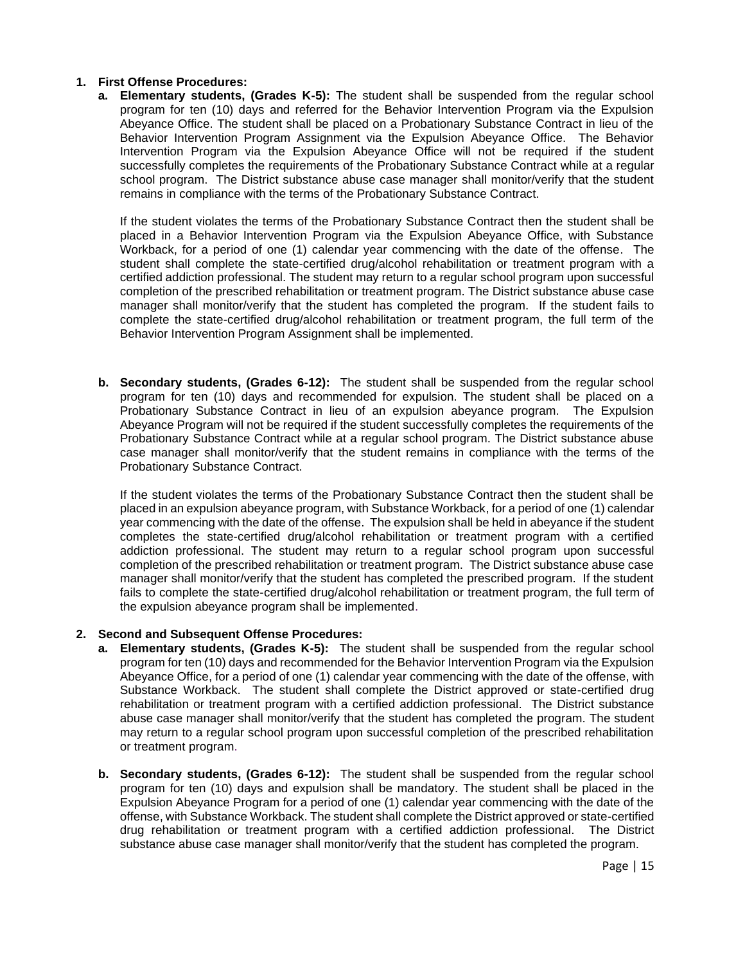## **1. First Offense Procedures:**

**a. Elementary students, (Grades K-5):** The student shall be suspended from the regular school program for ten (10) days and referred for the Behavior Intervention Program via the Expulsion Abeyance Office. The student shall be placed on a Probationary Substance Contract in lieu of the Behavior Intervention Program Assignment via the Expulsion Abeyance Office. The Behavior Intervention Program via the Expulsion Abeyance Office will not be required if the student successfully completes the requirements of the Probationary Substance Contract while at a regular school program. The District substance abuse case manager shall monitor/verify that the student remains in compliance with the terms of the Probationary Substance Contract.

If the student violates the terms of the Probationary Substance Contract then the student shall be placed in a Behavior Intervention Program via the Expulsion Abeyance Office, with Substance Workback, for a period of one (1) calendar year commencing with the date of the offense. The student shall complete the state-certified drug/alcohol rehabilitation or treatment program with a certified addiction professional. The student may return to a regular school program upon successful completion of the prescribed rehabilitation or treatment program. The District substance abuse case manager shall monitor/verify that the student has completed the program. If the student fails to complete the state-certified drug/alcohol rehabilitation or treatment program, the full term of the Behavior Intervention Program Assignment shall be implemented.

**b. Secondary students, (Grades 6-12):** The student shall be suspended from the regular school program for ten (10) days and recommended for expulsion. The student shall be placed on a Probationary Substance Contract in lieu of an expulsion abeyance program. The Expulsion Abeyance Program will not be required if the student successfully completes the requirements of the Probationary Substance Contract while at a regular school program. The District substance abuse case manager shall monitor/verify that the student remains in compliance with the terms of the Probationary Substance Contract.

If the student violates the terms of the Probationary Substance Contract then the student shall be placed in an expulsion abeyance program, with Substance Workback, for a period of one (1) calendar year commencing with the date of the offense. The expulsion shall be held in abeyance if the student completes the state-certified drug/alcohol rehabilitation or treatment program with a certified addiction professional. The student may return to a regular school program upon successful completion of the prescribed rehabilitation or treatment program. The District substance abuse case manager shall monitor/verify that the student has completed the prescribed program. If the student fails to complete the state-certified drug/alcohol rehabilitation or treatment program, the full term of the expulsion abeyance program shall be implemented.

### **2. Second and Subsequent Offense Procedures:**

- **a. Elementary students, (Grades K-5):** The student shall be suspended from the regular school program for ten (10) days and recommended for the Behavior Intervention Program via the Expulsion Abeyance Office, for a period of one (1) calendar year commencing with the date of the offense, with Substance Workback. The student shall complete the District approved or state-certified drug rehabilitation or treatment program with a certified addiction professional. The District substance abuse case manager shall monitor/verify that the student has completed the program. The student may return to a regular school program upon successful completion of the prescribed rehabilitation or treatment program.
- **b. Secondary students, (Grades 6-12):** The student shall be suspended from the regular school program for ten (10) days and expulsion shall be mandatory. The student shall be placed in the Expulsion Abeyance Program for a period of one (1) calendar year commencing with the date of the offense, with Substance Workback. The student shall complete the District approved or state-certified drug rehabilitation or treatment program with a certified addiction professional. The District substance abuse case manager shall monitor/verify that the student has completed the program.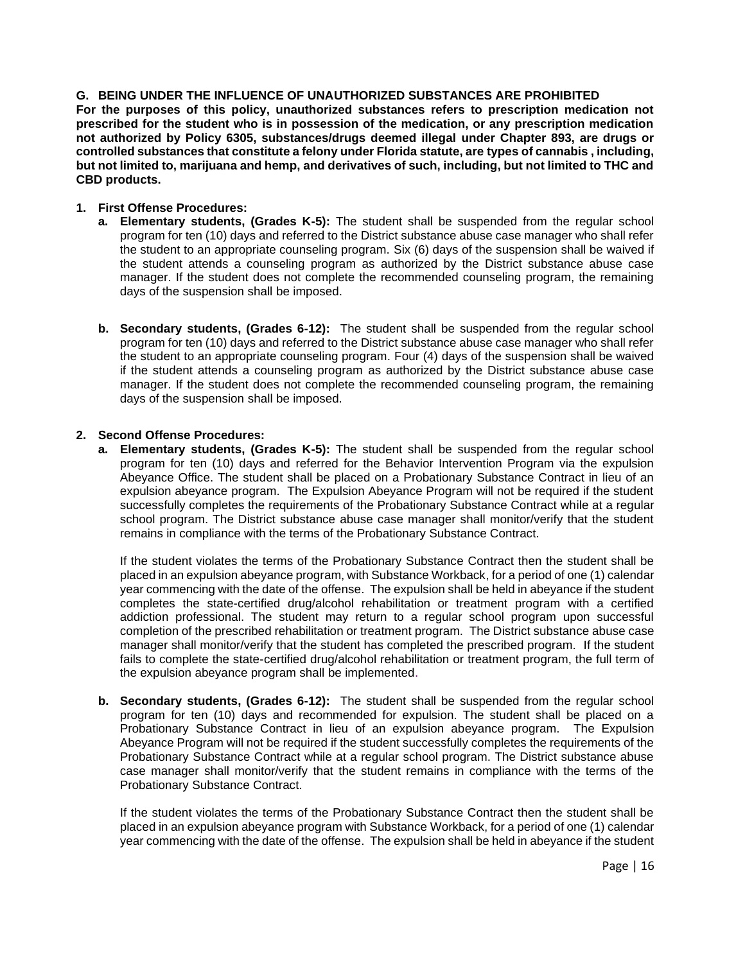### **G. BEING UNDER THE INFLUENCE OF UNAUTHORIZED SUBSTANCES ARE PROHIBITED**

**For the purposes of this policy, unauthorized substances refers to prescription medication not prescribed for the student who is in possession of the medication, or any prescription medication not authorized by Policy 6305, substances/drugs deemed illegal under Chapter 893, are drugs or controlled substances that constitute a felony under Florida statute, are types of cannabis , including, but not limited to, marijuana and hemp, and derivatives of such, including, but not limited to THC and CBD products.** 

# **1. First Offense Procedures:**

- **a. Elementary students, (Grades K-5):** The student shall be suspended from the regular school program for ten (10) days and referred to the District substance abuse case manager who shall refer the student to an appropriate counseling program. Six (6) days of the suspension shall be waived if the student attends a counseling program as authorized by the District substance abuse case manager. If the student does not complete the recommended counseling program, the remaining days of the suspension shall be imposed.
- **b. Secondary students, (Grades 6-12):** The student shall be suspended from the regular school program for ten (10) days and referred to the District substance abuse case manager who shall refer the student to an appropriate counseling program. Four (4) days of the suspension shall be waived if the student attends a counseling program as authorized by the District substance abuse case manager. If the student does not complete the recommended counseling program, the remaining days of the suspension shall be imposed.

## **2. Second Offense Procedures:**

**a. Elementary students, (Grades K-5):** The student shall be suspended from the regular school program for ten (10) days and referred for the Behavior Intervention Program via the expulsion Abeyance Office. The student shall be placed on a Probationary Substance Contract in lieu of an expulsion abeyance program. The Expulsion Abeyance Program will not be required if the student successfully completes the requirements of the Probationary Substance Contract while at a regular school program. The District substance abuse case manager shall monitor/verify that the student remains in compliance with the terms of the Probationary Substance Contract.

If the student violates the terms of the Probationary Substance Contract then the student shall be placed in an expulsion abeyance program, with Substance Workback, for a period of one (1) calendar year commencing with the date of the offense. The expulsion shall be held in abeyance if the student completes the state-certified drug/alcohol rehabilitation or treatment program with a certified addiction professional. The student may return to a regular school program upon successful completion of the prescribed rehabilitation or treatment program. The District substance abuse case manager shall monitor/verify that the student has completed the prescribed program. If the student fails to complete the state-certified drug/alcohol rehabilitation or treatment program, the full term of the expulsion abeyance program shall be implemented.

**b. Secondary students, (Grades 6-12):** The student shall be suspended from the regular school program for ten (10) days and recommended for expulsion. The student shall be placed on a Probationary Substance Contract in lieu of an expulsion abeyance program. The Expulsion Abeyance Program will not be required if the student successfully completes the requirements of the Probationary Substance Contract while at a regular school program. The District substance abuse case manager shall monitor/verify that the student remains in compliance with the terms of the Probationary Substance Contract.

If the student violates the terms of the Probationary Substance Contract then the student shall be placed in an expulsion abeyance program with Substance Workback, for a period of one (1) calendar year commencing with the date of the offense. The expulsion shall be held in abeyance if the student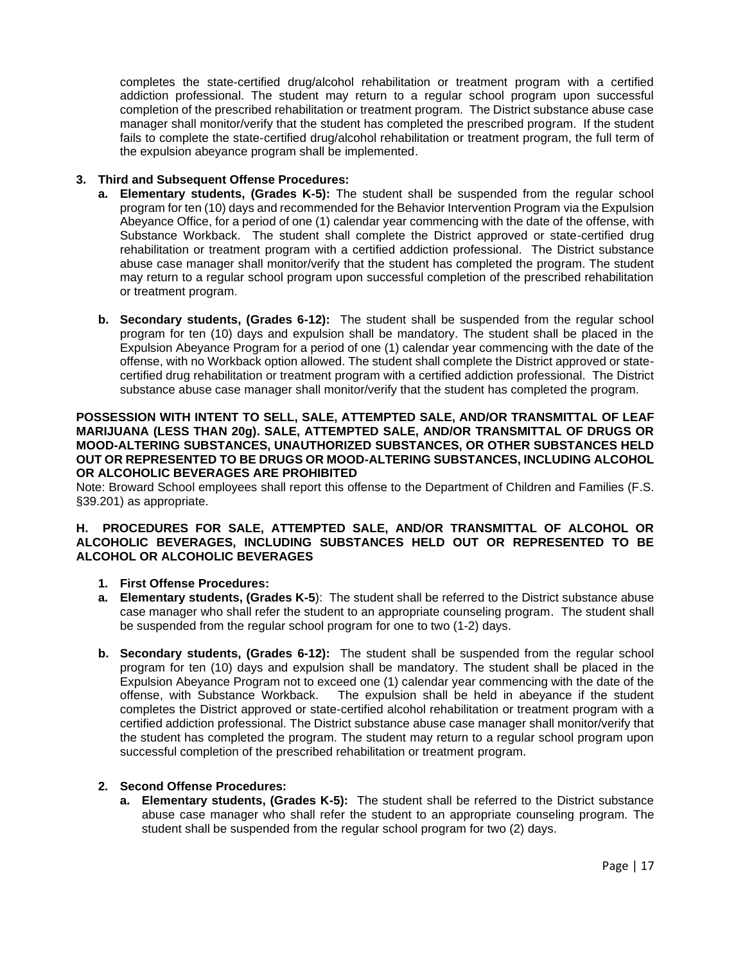completes the state-certified drug/alcohol rehabilitation or treatment program with a certified addiction professional. The student may return to a regular school program upon successful completion of the prescribed rehabilitation or treatment program. The District substance abuse case manager shall monitor/verify that the student has completed the prescribed program. If the student fails to complete the state-certified drug/alcohol rehabilitation or treatment program, the full term of the expulsion abeyance program shall be implemented.

# **3. Third and Subsequent Offense Procedures:**

- **a. Elementary students, (Grades K-5):** The student shall be suspended from the regular school program for ten (10) days and recommended for the Behavior Intervention Program via the Expulsion Abeyance Office, for a period of one (1) calendar year commencing with the date of the offense, with Substance Workback. The student shall complete the District approved or state-certified drug rehabilitation or treatment program with a certified addiction professional. The District substance abuse case manager shall monitor/verify that the student has completed the program. The student may return to a regular school program upon successful completion of the prescribed rehabilitation or treatment program.
- **b. Secondary students, (Grades 6-12):** The student shall be suspended from the regular school program for ten (10) days and expulsion shall be mandatory. The student shall be placed in the Expulsion Abeyance Program for a period of one (1) calendar year commencing with the date of the offense, with no Workback option allowed. The student shall complete the District approved or statecertified drug rehabilitation or treatment program with a certified addiction professional. The District substance abuse case manager shall monitor/verify that the student has completed the program.

### **POSSESSION WITH INTENT TO SELL, SALE, ATTEMPTED SALE, AND/OR TRANSMITTAL OF LEAF MARIJUANA (LESS THAN 20g). SALE, ATTEMPTED SALE, AND/OR TRANSMITTAL OF DRUGS OR MOOD-ALTERING SUBSTANCES, UNAUTHORIZED SUBSTANCES, OR OTHER SUBSTANCES HELD OUT OR REPRESENTED TO BE DRUGS OR MOOD-ALTERING SUBSTANCES, INCLUDING ALCOHOL OR ALCOHOLIC BEVERAGES ARE PROHIBITED**

Note: Broward School employees shall report this offense to the Department of Children and Families (F.S. §39.201) as appropriate.

### **H. PROCEDURES FOR SALE, ATTEMPTED SALE, AND/OR TRANSMITTAL OF ALCOHOL OR ALCOHOLIC BEVERAGES, INCLUDING SUBSTANCES HELD OUT OR REPRESENTED TO BE ALCOHOL OR ALCOHOLIC BEVERAGES**

# **1. First Offense Procedures:**

- **a. Elementary students, (Grades K-5**): The student shall be referred to the District substance abuse case manager who shall refer the student to an appropriate counseling program. The student shall be suspended from the regular school program for one to two (1-2) days.
- **b. Secondary students, (Grades 6-12):** The student shall be suspended from the regular school program for ten (10) days and expulsion shall be mandatory. The student shall be placed in the Expulsion Abeyance Program not to exceed one (1) calendar year commencing with the date of the The expulsion shall be held in abeyance if the student completes the District approved or state-certified alcohol rehabilitation or treatment program with a certified addiction professional. The District substance abuse case manager shall monitor/verify that the student has completed the program. The student may return to a regular school program upon successful completion of the prescribed rehabilitation or treatment program.

# **2. Second Offense Procedures:**

**a. Elementary students, (Grades K-5):** The student shall be referred to the District substance abuse case manager who shall refer the student to an appropriate counseling program. The student shall be suspended from the regular school program for two (2) days.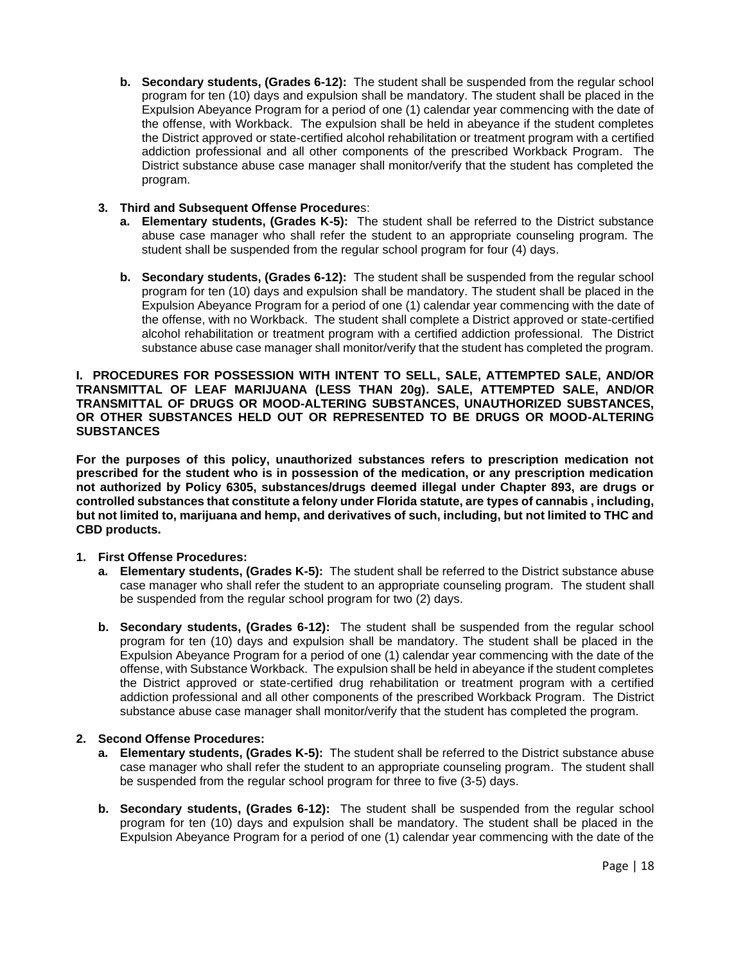**b. Secondary students, (Grades 6-12):** The student shall be suspended from the regular school program for ten (10) days and expulsion shall be mandatory. The student shall be placed in the Expulsion Abeyance Program for a period of one (1) calendar year commencing with the date of the offense, with Workback. The expulsion shall be held in abeyance if the student completes the District approved or state-certified alcohol rehabilitation or treatment program with a certified addiction professional and all other components of the prescribed Workback Program. The District substance abuse case manager shall monitor/verify that the student has completed the program.

# **3. Third and Subsequent Offense Procedure**s:

- **a. Elementary students, (Grades K-5):** The student shall be referred to the District substance abuse case manager who shall refer the student to an appropriate counseling program. The student shall be suspended from the regular school program for four (4) days.
- **b. Secondary students, (Grades 6-12):** The student shall be suspended from the regular school program for ten (10) days and expulsion shall be mandatory. The student shall be placed in the Expulsion Abeyance Program for a period of one (1) calendar year commencing with the date of the offense, with no Workback. The student shall complete a District approved or state-certified alcohol rehabilitation or treatment program with a certified addiction professional. The District substance abuse case manager shall monitor/verify that the student has completed the program.

**I. PROCEDURES FOR POSSESSION WITH INTENT TO SELL, SALE, ATTEMPTED SALE, AND/OR TRANSMITTAL OF LEAF MARIJUANA (LESS THAN 20g). SALE, ATTEMPTED SALE, AND/OR TRANSMITTAL OF DRUGS OR MOOD-ALTERING SUBSTANCES, UNAUTHORIZED SUBSTANCES, OR OTHER SUBSTANCES HELD OUT OR REPRESENTED TO BE DRUGS OR MOOD-ALTERING SUBSTANCES**

**For the purposes of this policy, unauthorized substances refers to prescription medication not prescribed for the student who is in possession of the medication, or any prescription medication not authorized by Policy 6305, substances/drugs deemed illegal under Chapter 893, are drugs or controlled substances that constitute a felony under Florida statute, are types of cannabis , including, but not limited to, marijuana and hemp, and derivatives of such, including, but not limited to THC and CBD products.** 

# **1. First Offense Procedures:**

- **a. Elementary students, (Grades K-5):** The student shall be referred to the District substance abuse case manager who shall refer the student to an appropriate counseling program. The student shall be suspended from the regular school program for two (2) days.
- **b. Secondary students, (Grades 6-12):** The student shall be suspended from the regular school program for ten (10) days and expulsion shall be mandatory. The student shall be placed in the Expulsion Abeyance Program for a period of one (1) calendar year commencing with the date of the offense, with Substance Workback. The expulsion shall be held in abeyance if the student completes the District approved or state-certified drug rehabilitation or treatment program with a certified addiction professional and all other components of the prescribed Workback Program. The District substance abuse case manager shall monitor/verify that the student has completed the program.

# **2. Second Offense Procedures:**

- **a. Elementary students, (Grades K-5):** The student shall be referred to the District substance abuse case manager who shall refer the student to an appropriate counseling program. The student shall be suspended from the regular school program for three to five (3-5) days.
- **b. Secondary students, (Grades 6-12):** The student shall be suspended from the regular school program for ten (10) days and expulsion shall be mandatory. The student shall be placed in the Expulsion Abeyance Program for a period of one (1) calendar year commencing with the date of the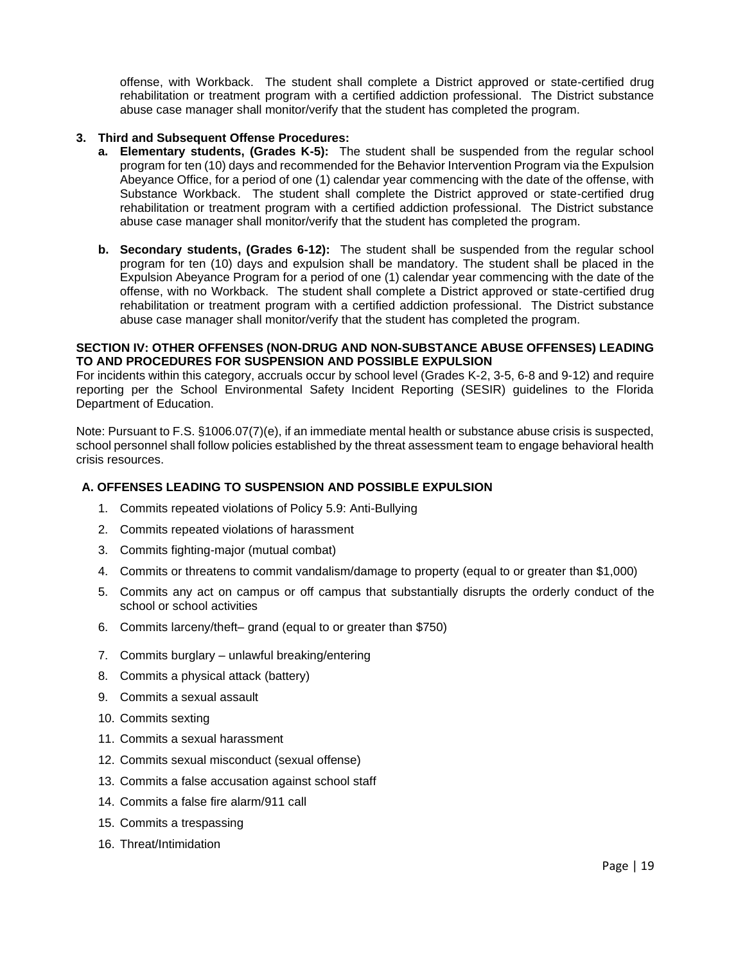offense, with Workback. The student shall complete a District approved or state-certified drug rehabilitation or treatment program with a certified addiction professional. The District substance abuse case manager shall monitor/verify that the student has completed the program.

## **3. Third and Subsequent Offense Procedures:**

- **a. Elementary students, (Grades K-5):** The student shall be suspended from the regular school program for ten (10) days and recommended for the Behavior Intervention Program via the Expulsion Abeyance Office, for a period of one (1) calendar year commencing with the date of the offense, with Substance Workback. The student shall complete the District approved or state-certified drug rehabilitation or treatment program with a certified addiction professional. The District substance abuse case manager shall monitor/verify that the student has completed the program.
- **b. Secondary students, (Grades 6-12):** The student shall be suspended from the regular school program for ten (10) days and expulsion shall be mandatory. The student shall be placed in the Expulsion Abeyance Program for a period of one (1) calendar year commencing with the date of the offense, with no Workback. The student shall complete a District approved or state-certified drug rehabilitation or treatment program with a certified addiction professional. The District substance abuse case manager shall monitor/verify that the student has completed the program.

#### **SECTION IV: OTHER OFFENSES (NON-DRUG AND NON-SUBSTANCE ABUSE OFFENSES) LEADING TO AND PROCEDURES FOR SUSPENSION AND POSSIBLE EXPULSION**

For incidents within this category, accruals occur by school level (Grades K-2, 3-5, 6-8 and 9-12) and require reporting per the School Environmental Safety Incident Reporting (SESIR) guidelines to the Florida Department of Education.

Note: Pursuant to F.S. §1006.07(7)(e), if an immediate mental health or substance abuse crisis is suspected, school personnel shall follow policies established by the threat assessment team to engage behavioral health crisis resources.

# **A. OFFENSES LEADING TO SUSPENSION AND POSSIBLE EXPULSION**

- 1. Commits repeated violations of Policy 5.9: Anti-Bullying
- 2. Commits repeated violations of harassment
- 3. Commits fighting-major (mutual combat)
- 4. Commits or threatens to commit vandalism/damage to property (equal to or greater than \$1,000)
- 5. Commits any act on campus or off campus that substantially disrupts the orderly conduct of the school or school activities
- 6. Commits larceny/theft– grand (equal to or greater than \$750)
- 7. Commits burglary unlawful breaking/entering
- 8. Commits a physical attack (battery)
- 9. Commits a sexual assault
- 10. Commits sexting
- 11. Commits a sexual harassment
- 12. Commits sexual misconduct (sexual offense)
- 13. Commits a false accusation against school staff
- 14. Commits a false fire alarm/911 call
- 15. Commits a trespassing
- 16. Threat/Intimidation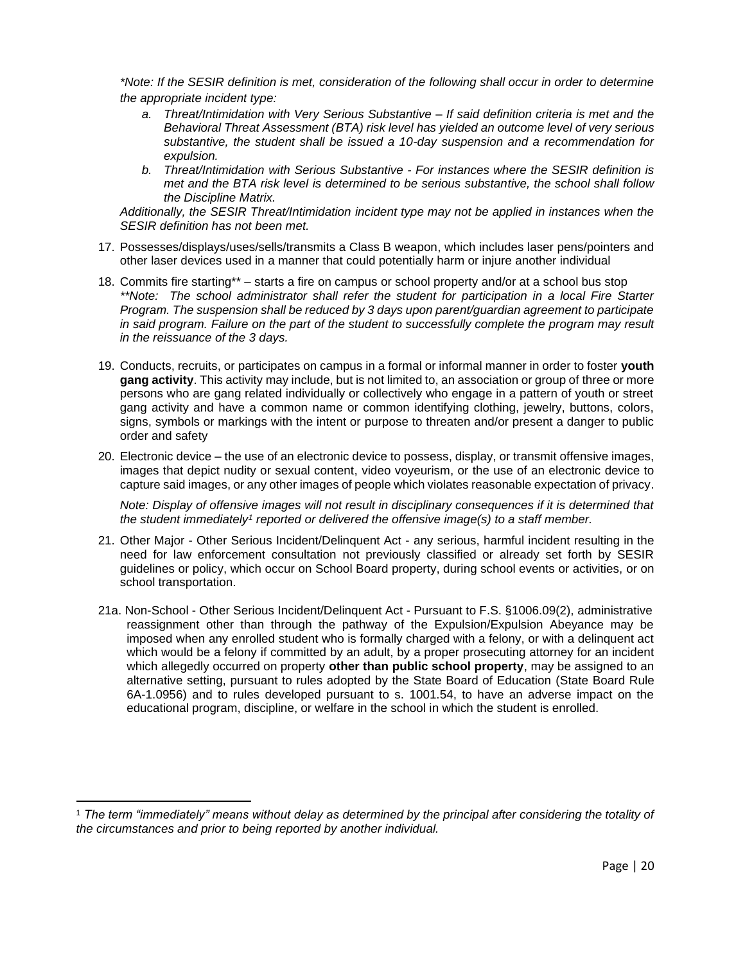*\*Note: If the SESIR definition is met, consideration of the following shall occur in order to determine the appropriate incident type:*

- *a. Threat/Intimidation with Very Serious Substantive – If said definition criteria is met and the Behavioral Threat Assessment (BTA) risk level has yielded an outcome level of very serious substantive, the student shall be issued a 10-day suspension and a recommendation for expulsion.*
- *b. Threat/Intimidation with Serious Substantive - For instances where the SESIR definition is met and the BTA risk level is determined to be serious substantive, the school shall follow the Discipline Matrix.*

*Additionally, the SESIR Threat/Intimidation incident type may not be applied in instances when the SESIR definition has not been met.*

- 17. Possesses/displays/uses/sells/transmits a Class B weapon, which includes laser pens/pointers and other laser devices used in a manner that could potentially harm or injure another individual
- 18. Commits fire starting\*\* starts a fire on campus or school property and/or at a school bus stop *\*\*Note: The school administrator shall refer the student for participation in a local Fire Starter Program. The suspension shall be reduced by 3 days upon parent/guardian agreement to participate in said program. Failure on the part of the student to successfully complete the program may result in the reissuance of the 3 days.*
- 19. Conducts, recruits, or participates on campus in a formal or informal manner in order to foster **youth gang activity**. This activity may include, but is not limited to, an association or group of three or more persons who are gang related individually or collectively who engage in a pattern of youth or street gang activity and have a common name or common identifying clothing, jewelry, buttons, colors, signs, symbols or markings with the intent or purpose to threaten and/or present a danger to public order and safety
- 20. Electronic device the use of an electronic device to possess, display, or transmit offensive images, images that depict nudity or sexual content, video voyeurism, or the use of an electronic device to capture said images, or any other images of people which violates reasonable expectation of privacy.

*Note: Display of offensive images will not result in disciplinary consequences if it is determined that*  the student immediately<sup>1</sup> reported or delivered the offensive image(s) to a staff member.

- 21. Other Major Other Serious Incident/Delinquent Act any serious, harmful incident resulting in the need for law enforcement consultation not previously classified or already set forth by SESIR guidelines or policy, which occur on School Board property, during school events or activities, or on school transportation.
- 21a. Non-School Other Serious Incident/Delinquent Act Pursuant to F.S. §1006.09(2), administrative reassignment other than through the pathway of the Expulsion/Expulsion Abeyance may be imposed when any enrolled student who is formally charged with a felony, or with a delinquent act which would be a felony if committed by an adult, by a proper prosecuting attorney for an incident which allegedly occurred on property **other than public school property**, may be assigned to an alternative setting, pursuant to rules adopted by the State Board of Education (State Board Rule 6A-1.0956) and to rules developed pursuant to s. 1001.54, to have an adverse impact on the educational program, discipline, or welfare in the school in which the student is enrolled.

<sup>1</sup> *The term "immediately" means without delay as determined by the principal after considering the totality of the circumstances and prior to being reported by another individual.*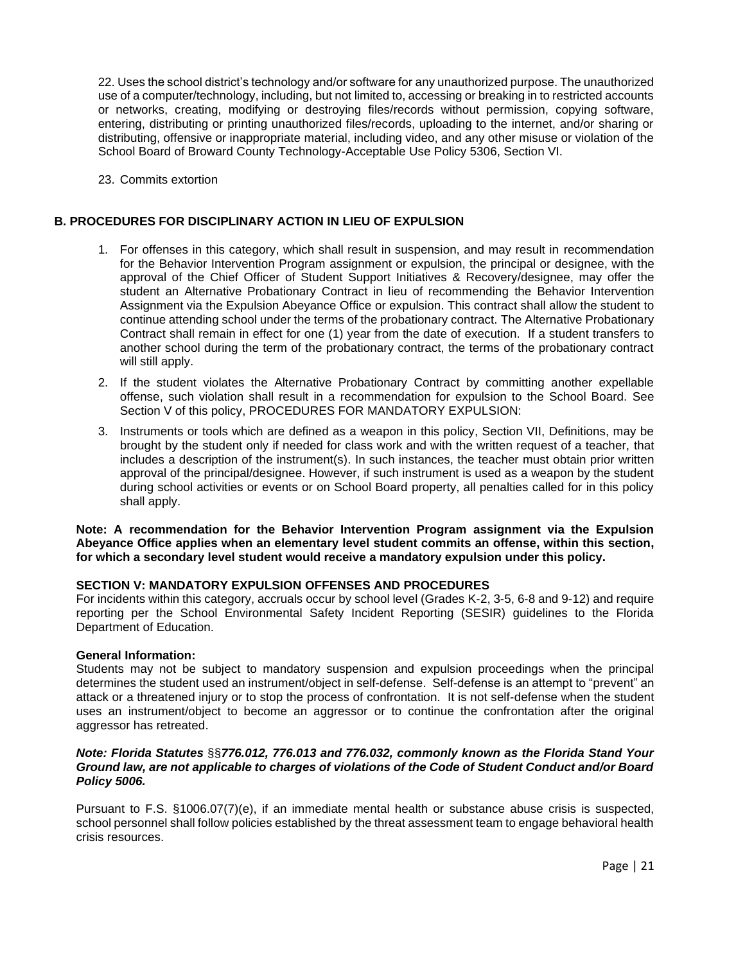22. Uses the school district's technology and/or software for any unauthorized purpose. The unauthorized use of a computer/technology, including, but not limited to, accessing or breaking in to restricted accounts or networks, creating, modifying or destroying files/records without permission, copying software, entering, distributing or printing unauthorized files/records, uploading to the internet, and/or sharing or distributing, offensive or inappropriate material, including video, and any other misuse or violation of the School Board of Broward County Technology-Acceptable Use Policy 5306, Section VI.

23. Commits extortion

### **B. PROCEDURES FOR DISCIPLINARY ACTION IN LIEU OF EXPULSION**

- 1. For offenses in this category, which shall result in suspension, and may result in recommendation for the Behavior Intervention Program assignment or expulsion, the principal or designee, with the approval of the Chief Officer of Student Support Initiatives & Recovery/designee, may offer the student an Alternative Probationary Contract in lieu of recommending the Behavior Intervention Assignment via the Expulsion Abeyance Office or expulsion. This contract shall allow the student to continue attending school under the terms of the probationary contract. The Alternative Probationary Contract shall remain in effect for one (1) year from the date of execution. If a student transfers to another school during the term of the probationary contract, the terms of the probationary contract will still apply.
- 2. If the student violates the Alternative Probationary Contract by committing another expellable offense, such violation shall result in a recommendation for expulsion to the School Board. See Section V of this policy, PROCEDURES FOR MANDATORY EXPULSION:
- 3. Instruments or tools which are defined as a weapon in this policy, Section VII, Definitions, may be brought by the student only if needed for class work and with the written request of a teacher, that includes a description of the instrument(s). In such instances, the teacher must obtain prior written approval of the principal/designee. However, if such instrument is used as a weapon by the student during school activities or events or on School Board property, all penalties called for in this policy shall apply.

**Note: A recommendation for the Behavior Intervention Program assignment via the Expulsion Abeyance Office applies when an elementary level student commits an offense, within this section, for which a secondary level student would receive a mandatory expulsion under this policy.** 

### **SECTION V: MANDATORY EXPULSION OFFENSES AND PROCEDURES**

For incidents within this category, accruals occur by school level (Grades K-2, 3-5, 6-8 and 9-12) and require reporting per the School Environmental Safety Incident Reporting (SESIR) guidelines to the Florida Department of Education.

### **General Information:**

Students may not be subject to mandatory suspension and expulsion proceedings when the principal determines the student used an instrument/object in self-defense. Self-defense is an attempt to "prevent" an attack or a threatened injury or to stop the process of confrontation. It is not self-defense when the student uses an instrument/object to become an aggressor or to continue the confrontation after the original aggressor has retreated.

### *Note: Florida Statutes* §§*776.012, 776.013 and 776.032, commonly known as the Florida Stand Your Ground law, are not applicable to charges of violations of the Code of Student Conduct and/or Board Policy 5006.*

Pursuant to F.S. §1006.07(7)(e), if an immediate mental health or substance abuse crisis is suspected, school personnel shall follow policies established by the threat assessment team to engage behavioral health crisis resources.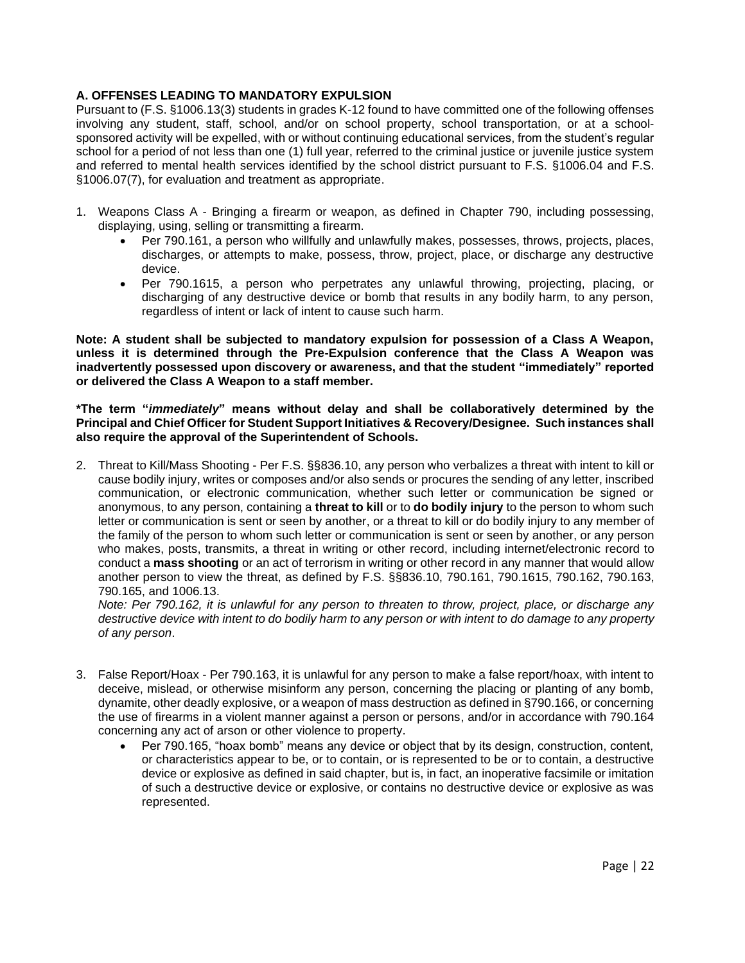# **A. OFFENSES LEADING TO MANDATORY EXPULSION**

Pursuant to (F.S. §1006.13(3) students in grades K-12 found to have committed one of the following offenses involving any student, staff, school, and/or on school property, school transportation, or at a schoolsponsored activity will be expelled, with or without continuing educational services, from the student's regular school for a period of not less than one (1) full year, referred to the criminal justice or juvenile justice system and referred to mental health services identified by the school district pursuant to F.S. §1006.04 and F.S. §1006.07(7), for evaluation and treatment as appropriate.

- 1. Weapons Class A Bringing a firearm or weapon, as defined in Chapter 790, including possessing, displaying, using, selling or transmitting a firearm.
	- Per 790.161, a person who willfully and unlawfully makes, possesses, throws, projects, places, discharges, or attempts to make, possess, throw, project, place, or discharge any destructive device.
	- Per 790.1615, a person who perpetrates any unlawful throwing, projecting, placing, or discharging of any destructive device or bomb that results in any bodily harm, to any person, regardless of intent or lack of intent to cause such harm.

**Note: A student shall be subjected to mandatory expulsion for possession of a Class A Weapon, unless it is determined through the Pre-Expulsion conference that the Class A Weapon was inadvertently possessed upon discovery or awareness, and that the student "immediately" reported or delivered the Class A Weapon to a staff member.** 

**\*The term "***immediately***" means without delay and shall be collaboratively determined by the Principal and Chief Officer for Student Support Initiatives & Recovery/Designee. Such instances shall also require the approval of the Superintendent of Schools.**

2. Threat to Kill/Mass Shooting - Per F.S. §§836.10, any person who verbalizes a threat with intent to kill or cause bodily injury, writes or composes and/or also sends or procures the sending of any letter, inscribed communication, or electronic communication, whether such letter or communication be signed or anonymous, to any person, containing a **threat to kill** or to **do bodily injury** to the person to whom such letter or communication is sent or seen by another, or a threat to kill or do bodily injury to any member of the family of the person to whom such letter or communication is sent or seen by another, or any person who makes, posts, transmits, a threat in writing or other record, including internet/electronic record to conduct a **mass shooting** or an act of terrorism in writing or other record in any manner that would allow another person to view the threat, as defined by F.S. §§836.10, 790.161, 790.1615, 790.162, 790.163, 790.165, and 1006.13.

*Note: Per 790.162, it is unlawful for any person to threaten to throw, project, place, or discharge any destructive device with intent to do bodily harm to any person or with intent to do damage to any property of any person*.

- 3. False Report/Hoax Per 790.163, it is unlawful for any person to make a false report/hoax, with intent to deceive, mislead, or otherwise misinform any person, concerning the placing or planting of any bomb, dynamite, other deadly explosive, or a weapon of mass destruction as defined in §790.166, or concerning the use of firearms in a violent manner against a person or persons, and/or in accordance with 790.164 concerning any act of arson or other violence to property.
	- Per 790.165, "hoax bomb" means any device or object that by its design, construction, content, or characteristics appear to be, or to contain, or is represented to be or to contain, a destructive device or explosive as defined in said chapter, but is, in fact, an inoperative facsimile or imitation of such a destructive device or explosive, or contains no destructive device or explosive as was represented.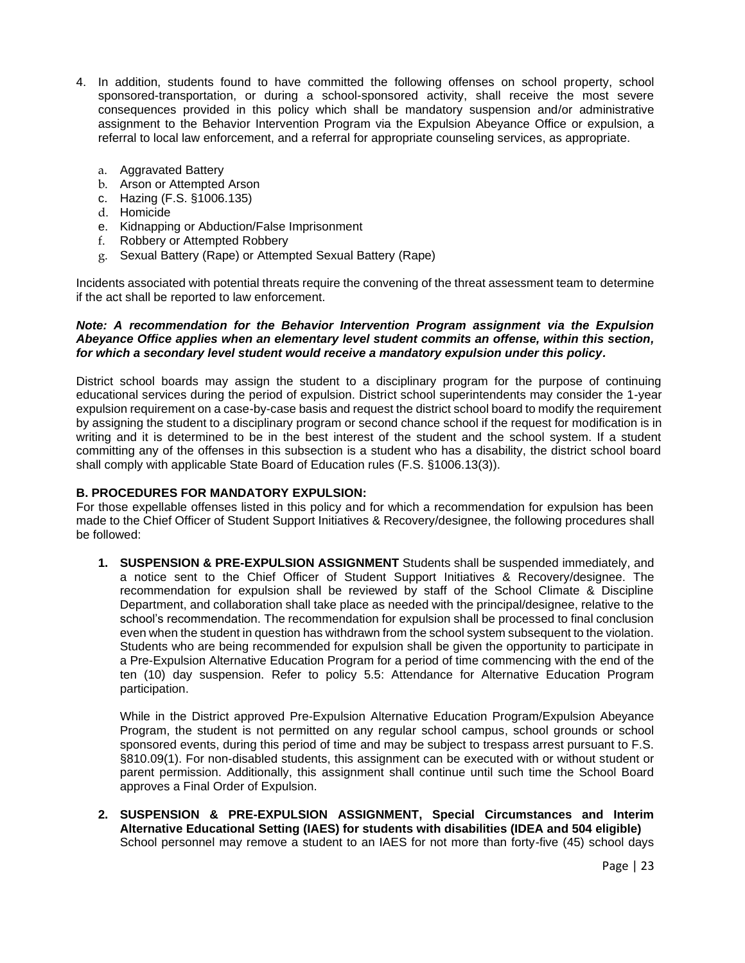- 4. In addition, students found to have committed the following offenses on school property, school sponsored-transportation, or during a school-sponsored activity, shall receive the most severe consequences provided in this policy which shall be mandatory suspension and/or administrative assignment to the Behavior Intervention Program via the Expulsion Abeyance Office or expulsion, a referral to local law enforcement, and a referral for appropriate counseling services, as appropriate.
	- a. Aggravated Battery
	- b. Arson or Attempted Arson
	- c. Hazing (F.S. §1006.135)
	- d. Homicide
	- e. Kidnapping or Abduction/False Imprisonment
	- f. Robbery or Attempted Robbery
	- g. Sexual Battery (Rape) or Attempted Sexual Battery (Rape)

Incidents associated with potential threats require the convening of the threat assessment team to determine if the act shall be reported to law enforcement.

### *Note: A recommendation for the Behavior Intervention Program assignment via the Expulsion Abeyance Office applies when an elementary level student commits an offense, within this section, for which a secondary level student would receive a mandatory expulsion under this policy.*

District school boards may assign the student to a disciplinary program for the purpose of continuing educational services during the period of expulsion. District school superintendents may consider the 1-year expulsion requirement on a case-by-case basis and request the district school board to modify the requirement by assigning the student to a disciplinary program or second chance school if the request for modification is in writing and it is determined to be in the best interest of the student and the school system. If a student committing any of the offenses in this subsection is a student who has a disability, the district school board shall comply with applicable State Board of Education rules (F.S. §1006.13(3)).

### **B. PROCEDURES FOR MANDATORY EXPULSION:**

For those expellable offenses listed in this policy and for which a recommendation for expulsion has been made to the Chief Officer of Student Support Initiatives & Recovery/designee, the following procedures shall be followed:

**1. SUSPENSION & PRE-EXPULSION ASSIGNMENT** Students shall be suspended immediately, and a notice sent to the Chief Officer of Student Support Initiatives & Recovery/designee. The recommendation for expulsion shall be reviewed by staff of the School Climate & Discipline Department, and collaboration shall take place as needed with the principal/designee, relative to the school's recommendation. The recommendation for expulsion shall be processed to final conclusion even when the student in question has withdrawn from the school system subsequent to the violation. Students who are being recommended for expulsion shall be given the opportunity to participate in a Pre-Expulsion Alternative Education Program for a period of time commencing with the end of the ten (10) day suspension. Refer to policy 5.5: Attendance for Alternative Education Program participation.

While in the District approved Pre-Expulsion Alternative Education Program/Expulsion Abeyance Program, the student is not permitted on any regular school campus, school grounds or school sponsored events, during this period of time and may be subject to trespass arrest pursuant to F.S. §810.09(1). For non-disabled students, this assignment can be executed with or without student or parent permission. Additionally, this assignment shall continue until such time the School Board approves a Final Order of Expulsion.

**2. SUSPENSION & PRE-EXPULSION ASSIGNMENT, Special Circumstances and Interim Alternative Educational Setting (IAES) for students with disabilities (IDEA and 504 eligible)** School personnel may remove a student to an IAES for not more than forty-five (45) school days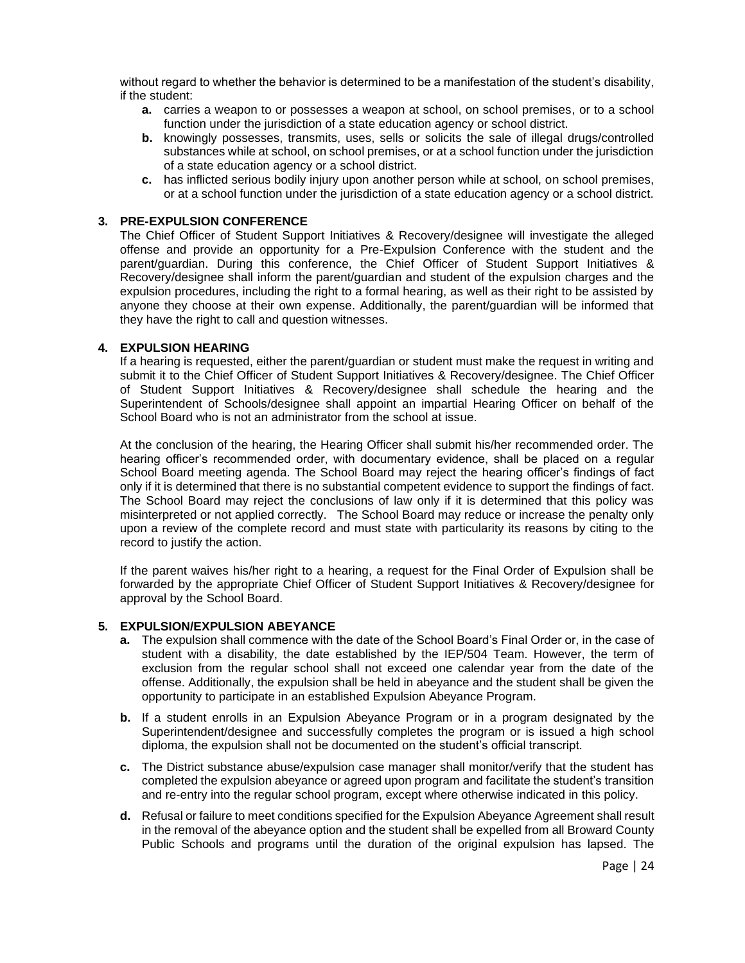without regard to whether the behavior is determined to be a manifestation of the student's disability, if the student:

- **a.** carries a weapon to or possesses a weapon at school, on school premises, or to a school function under the jurisdiction of a state education agency or school district.
- **b.** knowingly possesses, transmits, uses, sells or solicits the sale of illegal drugs/controlled substances while at school, on school premises, or at a school function under the jurisdiction of a state education agency or a school district.
- **c.** has inflicted serious bodily injury upon another person while at school, on school premises, or at a school function under the jurisdiction of a state education agency or a school district.

#### **3. PRE-EXPULSION CONFERENCE**

The Chief Officer of Student Support Initiatives & Recovery/designee will investigate the alleged offense and provide an opportunity for a Pre-Expulsion Conference with the student and the parent/guardian. During this conference, the Chief Officer of Student Support Initiatives & Recovery/designee shall inform the parent/guardian and student of the expulsion charges and the expulsion procedures, including the right to a formal hearing, as well as their right to be assisted by anyone they choose at their own expense. Additionally, the parent/guardian will be informed that they have the right to call and question witnesses.

### **4. EXPULSION HEARING**

If a hearing is requested, either the parent/guardian or student must make the request in writing and submit it to the Chief Officer of Student Support Initiatives & Recovery/designee. The Chief Officer of Student Support Initiatives & Recovery/designee shall schedule the hearing and the Superintendent of Schools/designee shall appoint an impartial Hearing Officer on behalf of the School Board who is not an administrator from the school at issue.

At the conclusion of the hearing, the Hearing Officer shall submit his/her recommended order. The hearing officer's recommended order, with documentary evidence, shall be placed on a regular School Board meeting agenda. The School Board may reject the hearing officer's findings of fact only if it is determined that there is no substantial competent evidence to support the findings of fact. The School Board may reject the conclusions of law only if it is determined that this policy was misinterpreted or not applied correctly. The School Board may reduce or increase the penalty only upon a review of the complete record and must state with particularity its reasons by citing to the record to justify the action.

If the parent waives his/her right to a hearing, a request for the Final Order of Expulsion shall be forwarded by the appropriate Chief Officer of Student Support Initiatives & Recovery/designee for approval by the School Board.

#### **5. EXPULSION/EXPULSION ABEYANCE**

- **a.** The expulsion shall commence with the date of the School Board's Final Order or, in the case of student with a disability, the date established by the IEP/504 Team. However, the term of exclusion from the regular school shall not exceed one calendar year from the date of the offense. Additionally, the expulsion shall be held in abeyance and the student shall be given the opportunity to participate in an established Expulsion Abeyance Program.
- **b.** If a student enrolls in an Expulsion Abeyance Program or in a program designated by the Superintendent/designee and successfully completes the program or is issued a high school diploma, the expulsion shall not be documented on the student's official transcript.
- **c.** The District substance abuse/expulsion case manager shall monitor/verify that the student has completed the expulsion abeyance or agreed upon program and facilitate the student's transition and re-entry into the regular school program, except where otherwise indicated in this policy.
- **d.** Refusal or failure to meet conditions specified for the Expulsion Abeyance Agreement shall result in the removal of the abeyance option and the student shall be expelled from all Broward County Public Schools and programs until the duration of the original expulsion has lapsed. The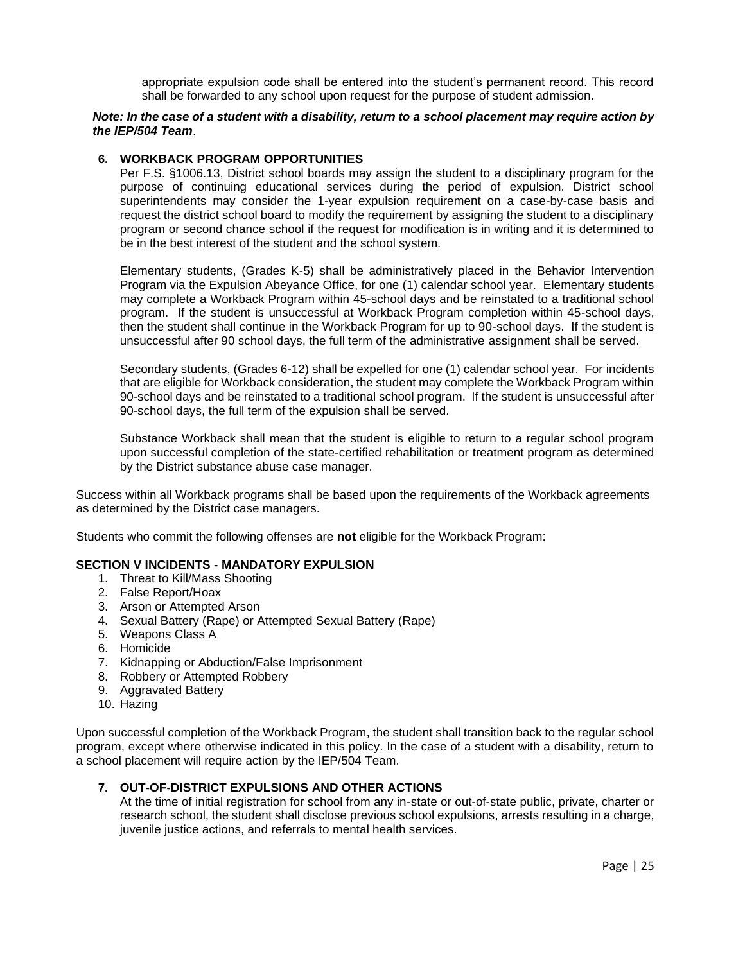appropriate expulsion code shall be entered into the student's permanent record. This record shall be forwarded to any school upon request for the purpose of student admission.

### *Note: In the case of a student with a disability, return to a school placement may require action by the IEP/504 Team*.

#### **6. WORKBACK PROGRAM OPPORTUNITIES**

Per F.S. §1006.13, District school boards may assign the student to a disciplinary program for the purpose of continuing educational services during the period of expulsion. District school superintendents may consider the 1-year expulsion requirement on a case-by-case basis and request the district school board to modify the requirement by assigning the student to a disciplinary program or second chance school if the request for modification is in writing and it is determined to be in the best interest of the student and the school system.

Elementary students, (Grades K-5) shall be administratively placed in the Behavior Intervention Program via the Expulsion Abeyance Office, for one (1) calendar school year. Elementary students may complete a Workback Program within 45-school days and be reinstated to a traditional school program. If the student is unsuccessful at Workback Program completion within 45-school days, then the student shall continue in the Workback Program for up to 90-school days. If the student is unsuccessful after 90 school days, the full term of the administrative assignment shall be served.

Secondary students, (Grades 6-12) shall be expelled for one (1) calendar school year. For incidents that are eligible for Workback consideration, the student may complete the Workback Program within 90-school days and be reinstated to a traditional school program. If the student is unsuccessful after 90-school days, the full term of the expulsion shall be served.

Substance Workback shall mean that the student is eligible to return to a regular school program upon successful completion of the state-certified rehabilitation or treatment program as determined by the District substance abuse case manager.

Success within all Workback programs shall be based upon the requirements of the Workback agreements as determined by the District case managers.

Students who commit the following offenses are **not** eligible for the Workback Program:

### **SECTION V INCIDENTS - MANDATORY EXPULSION**

- 1. Threat to Kill/Mass Shooting
- 2. False Report/Hoax
- 3. Arson or Attempted Arson
- 4. Sexual Battery (Rape) or Attempted Sexual Battery (Rape)
- 5. Weapons Class A
- 6. Homicide
- 7. Kidnapping or Abduction/False Imprisonment
- 8. Robbery or Attempted Robbery
- 9. Aggravated Battery
- 10. Hazing

Upon successful completion of the Workback Program, the student shall transition back to the regular school program, except where otherwise indicated in this policy. In the case of a student with a disability, return to a school placement will require action by the IEP/504 Team.

## **7. OUT-OF-DISTRICT EXPULSIONS AND OTHER ACTIONS**

At the time of initial registration for school from any in-state or out-of-state public, private, charter or research school, the student shall disclose previous school expulsions, arrests resulting in a charge, juvenile justice actions, and referrals to mental health services.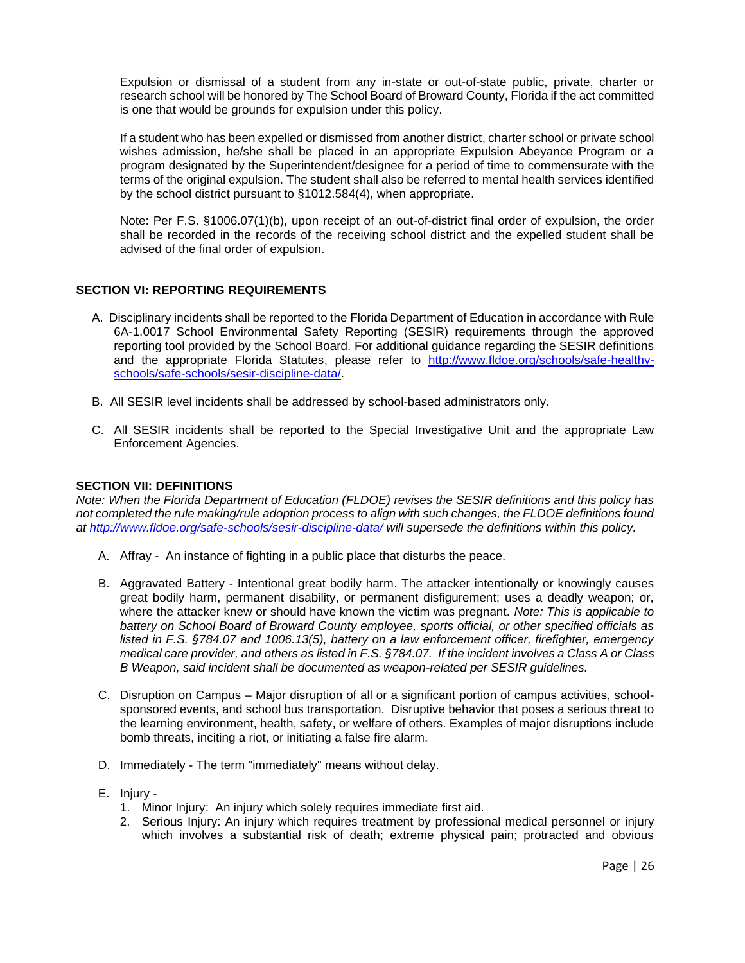Expulsion or dismissal of a student from any in-state or out-of-state public, private, charter or research school will be honored by The School Board of Broward County, Florida if the act committed is one that would be grounds for expulsion under this policy.

If a student who has been expelled or dismissed from another district, charter school or private school wishes admission, he/she shall be placed in an appropriate Expulsion Abeyance Program or a program designated by the Superintendent/designee for a period of time to commensurate with the terms of the original expulsion. The student shall also be referred to mental health services identified by the school district pursuant to §1012.584(4), when appropriate.

Note: Per F.S. §1006.07(1)(b), upon receipt of an out-of-district final order of expulsion, the order shall be recorded in the records of the receiving school district and the expelled student shall be advised of the final order of expulsion.

## **SECTION VI: REPORTING REQUIREMENTS**

- A. Disciplinary incidents shall be reported to the Florida Department of Education in accordance with Rule 6A-1.0017 School Environmental Safety Reporting (SESIR) requirements through the approved reporting tool provided by the School Board. For additional guidance regarding the SESIR definitions and the appropriate Florida Statutes, please refer to [http://www.fldoe.org/schools/safe-healthy](http://www.fldoe.org/schools/safe-healthy-schools/safe-schools/sesir-discipline-data/)[schools/safe-schools/sesir-discipline-data/.](http://www.fldoe.org/schools/safe-healthy-schools/safe-schools/sesir-discipline-data/)
- B. All SESIR level incidents shall be addressed by school-based administrators only.
- C. All SESIR incidents shall be reported to the Special Investigative Unit and the appropriate Law Enforcement Agencies.

### **SECTION VII: DEFINITIONS**

*Note: When the Florida Department of Education (FLDOE) revises the SESIR definitions and this policy has not completed the rule making/rule adoption process to align with such changes, the FLDOE definitions found at <http://www.fldoe.org/safe-schools/sesir-discipline-data/> will supersede the definitions within this policy.*

- A. Affray An instance of fighting in a public place that disturbs the peace.
- B. Aggravated Battery Intentional great bodily harm. The attacker intentionally or knowingly causes great bodily harm, permanent disability, or permanent disfigurement; uses a deadly weapon; or, where the attacker knew or should have known the victim was pregnant. *Note: This is applicable to battery on School Board of Broward County employee, sports official, or other specified officials as listed in F.S. §784.07 and 1006.13(5), battery on a law enforcement officer, firefighter, emergency medical care provider, and others as listed in F.S. §784.07. If the incident involves a Class A or Class B Weapon, said incident shall be documented as weapon-related per SESIR guidelines.*
- C. Disruption on Campus Major disruption of all or a significant portion of campus activities, schoolsponsored events, and school bus transportation. Disruptive behavior that poses a serious threat to the learning environment, health, safety, or welfare of others. Examples of major disruptions include bomb threats, inciting a riot, or initiating a false fire alarm.
- D. Immediately The term "immediately" means without delay.
- E. Injury
	- 1. Minor Injury: An injury which solely requires immediate first aid.
	- 2. Serious Injury: An injury which requires treatment by professional medical personnel or injury which involves a substantial risk of death; extreme physical pain; protracted and obvious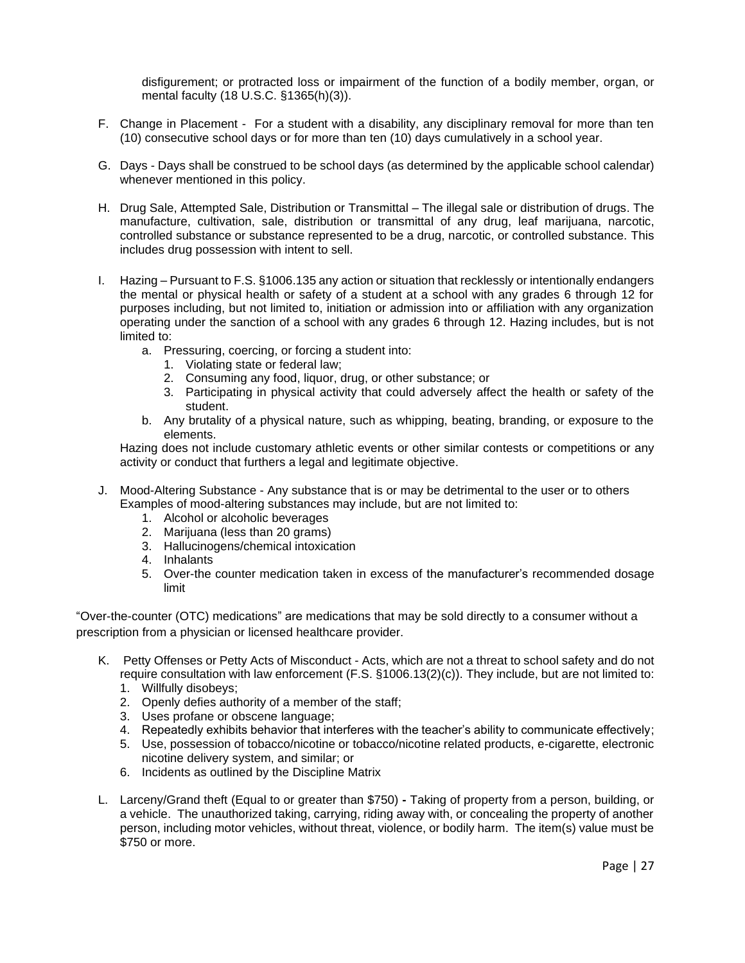disfigurement; or protracted loss or impairment of the function of a bodily member, organ, or mental faculty (18 U.S.C. §1365(h)(3)).

- F. Change in Placement For a student with a disability, any disciplinary removal for more than ten (10) consecutive school days or for more than ten (10) days cumulatively in a school year.
- G. Days Days shall be construed to be school days (as determined by the applicable school calendar) whenever mentioned in this policy.
- H. Drug Sale, Attempted Sale, Distribution or Transmittal The illegal sale or distribution of drugs. The manufacture, cultivation, sale, distribution or transmittal of any drug, leaf marijuana, narcotic, controlled substance or substance represented to be a drug, narcotic, or controlled substance. This includes drug possession with intent to sell.
- I. Hazing Pursuant to F.S. §1006.135 any action or situation that recklessly or intentionally endangers the mental or physical health or safety of a student at a school with any grades 6 through 12 for purposes including, but not limited to, initiation or admission into or affiliation with any organization operating under the sanction of a school with any grades 6 through 12. Hazing includes, but is not limited to:
	- a. Pressuring, coercing, or forcing a student into:
		- 1. Violating state or federal law;
		- 2. Consuming any food, liquor, drug, or other substance; or
		- 3. Participating in physical activity that could adversely affect the health or safety of the student.
	- b. Any brutality of a physical nature, such as whipping, beating, branding, or exposure to the elements.

Hazing does not include customary athletic events or other similar contests or competitions or any activity or conduct that furthers a legal and legitimate objective.

- J. Mood-Altering Substance Any substance that is or may be detrimental to the user or to others Examples of mood-altering substances may include, but are not limited to:
	- 1. Alcohol or alcoholic beverages
	- 2. Marijuana (less than 20 grams)
	- 3. Hallucinogens/chemical intoxication
	- 4. Inhalants
	- 5. Over-the counter medication taken in excess of the manufacturer's recommended dosage limit

"Over-the-counter (OTC) medications" are medications that may be sold directly to a consumer without a prescription from a physician or licensed healthcare provider.

- K. Petty Offenses or Petty Acts of Misconduct Acts, which are not a threat to school safety and do not require consultation with law enforcement (F.S. §1006.13(2)(c)). They include, but are not limited to:
	- 1. Willfully disobeys;
	- 2. Openly defies authority of a member of the staff;
	- 3. Uses profane or obscene language;
	- 4. Repeatedly exhibits behavior that interferes with the teacher's ability to communicate effectively;
	- 5. Use, possession of tobacco/nicotine or tobacco/nicotine related products, e-cigarette, electronic nicotine delivery system, and similar; or
	- 6. Incidents as outlined by the Discipline Matrix
- L. Larceny/Grand theft (Equal to or greater than \$750) **-** Taking of property from a person, building, or a vehicle. The unauthorized taking, carrying, riding away with, or concealing the property of another person, including motor vehicles, without threat, violence, or bodily harm. The item(s) value must be \$750 or more.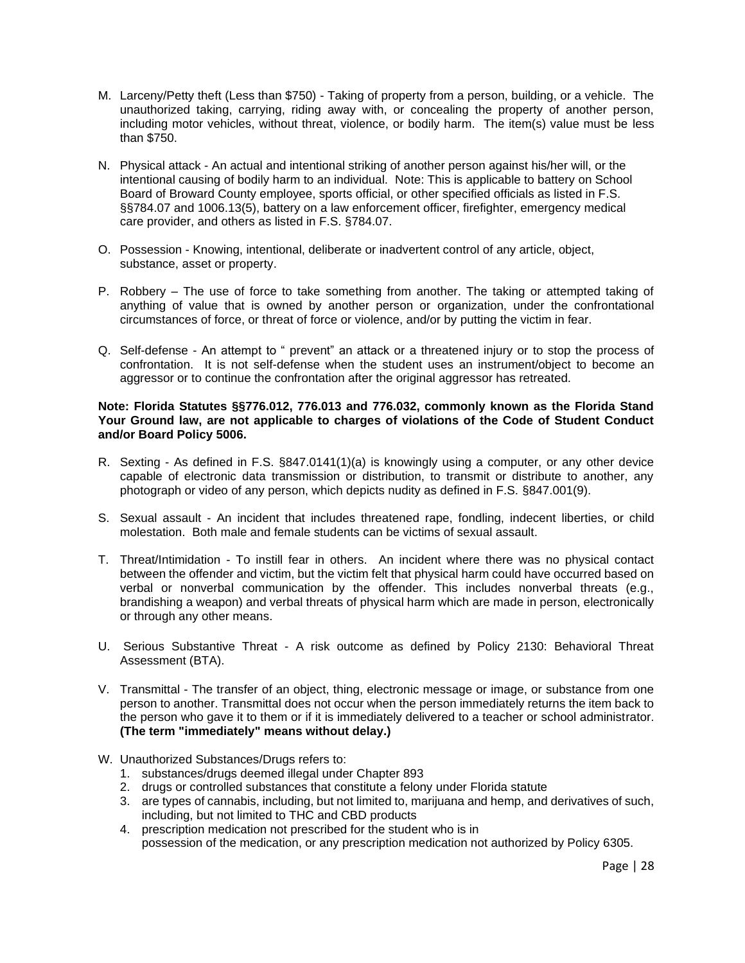- M. Larceny/Petty theft (Less than \$750) Taking of property from a person, building, or a vehicle. The unauthorized taking, carrying, riding away with, or concealing the property of another person, including motor vehicles, without threat, violence, or bodily harm. The item(s) value must be less than \$750.
- N. Physical attack An actual and intentional striking of another person against his/her will, or the intentional causing of bodily harm to an individual. Note: This is applicable to battery on School Board of Broward County employee, sports official, or other specified officials as listed in F.S. §§784.07 and 1006.13(5), battery on a law enforcement officer, firefighter, emergency medical care provider, and others as listed in F.S. §784.07.
- O. Possession Knowing, intentional, deliberate or inadvertent control of any article, object, substance, asset or property.
- P. Robbery The use of force to take something from another. The taking or attempted taking of anything of value that is owned by another person or organization, under the confrontational circumstances of force, or threat of force or violence, and/or by putting the victim in fear.
- Q. Self-defense An attempt to " prevent" an attack or a threatened injury or to stop the process of confrontation. It is not self-defense when the student uses an instrument/object to become an aggressor or to continue the confrontation after the original aggressor has retreated.

### **Note: Florida Statutes §§776.012, 776.013 and 776.032, commonly known as the Florida Stand Your Ground law, are not applicable to charges of violations of the Code of Student Conduct and/or Board Policy 5006.**

- R. Sexting As defined in F.S. §847.0141(1)(a) is knowingly using a computer, or any other device capable of electronic data transmission or distribution, to transmit or distribute to another, any photograph or video of any person, which depicts nudity as defined in F.S. §847.001(9).
- S. Sexual assault An incident that includes threatened rape, fondling, indecent liberties, or child molestation. Both male and female students can be victims of sexual assault.
- T. Threat/Intimidation To instill fear in others. An incident where there was no physical contact between the offender and victim, but the victim felt that physical harm could have occurred based on verbal or nonverbal communication by the offender. This includes nonverbal threats (e.g., brandishing a weapon) and verbal threats of physical harm which are made in person, electronically or through any other means.
- U. Serious Substantive Threat A risk outcome as defined by Policy 2130: Behavioral Threat Assessment (BTA).
- V. Transmittal The transfer of an object, thing, electronic message or image, or substance from one person to another. Transmittal does not occur when the person immediately returns the item back to the person who gave it to them or if it is immediately delivered to a teacher or school administrator. **(The term "immediately" means without delay.)**
- W. Unauthorized Substances/Drugs refers to:
	- 1. substances/drugs deemed illegal under Chapter 893
	- 2. drugs or controlled substances that constitute a felony under Florida statute
	- 3. are types of cannabis, including, but not limited to, marijuana and hemp, and derivatives of such, including, but not limited to THC and CBD products
	- 4. prescription medication not prescribed for the student who is in possession of the medication, or any prescription medication not authorized by Policy 6305.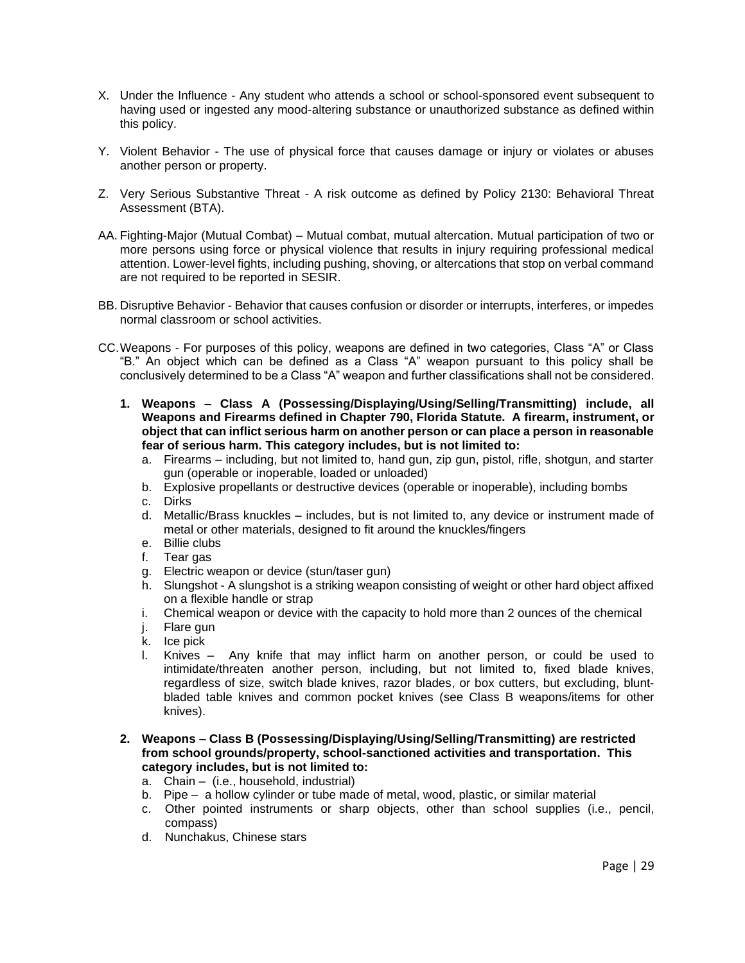- X. Under the Influence Any student who attends a school or school-sponsored event subsequent to having used or ingested any mood-altering substance or unauthorized substance as defined within this policy.
- Y. Violent Behavior The use of physical force that causes damage or injury or violates or abuses another person or property.
- Z. Very Serious Substantive Threat A risk outcome as defined by Policy 2130: Behavioral Threat Assessment (BTA).
- AA. Fighting-Major (Mutual Combat) Mutual combat, mutual altercation. Mutual participation of two or more persons using force or physical violence that results in injury requiring professional medical attention. Lower-level fights, including pushing, shoving, or altercations that stop on verbal command are not required to be reported in SESIR.
- BB. Disruptive Behavior Behavior that causes confusion or disorder or interrupts, interferes, or impedes normal classroom or school activities.
- CC.Weapons For purposes of this policy, weapons are defined in two categories, Class "A" or Class "B." An object which can be defined as a Class "A" weapon pursuant to this policy shall be conclusively determined to be a Class "A" weapon and further classifications shall not be considered.
	- **1. Weapons – Class A (Possessing/Displaying/Using/Selling/Transmitting) include, all Weapons and Firearms defined in Chapter 790, Florida Statute. A firearm, instrument, or object that can inflict serious harm on another person or can place a person in reasonable fear of serious harm. This category includes, but is not limited to:**
		- a. Firearms including, but not limited to, hand gun, zip gun, pistol, rifle, shotgun, and starter gun (operable or inoperable, loaded or unloaded)
		- b. Explosive propellants or destructive devices (operable or inoperable), including bombs
		- c. Dirks
		- d. Metallic/Brass knuckles includes, but is not limited to, any device or instrument made of metal or other materials, designed to fit around the knuckles/fingers
		- e. Billie clubs
		- f. Tear gas
		- g. Electric weapon or device (stun/taser gun)
		- h. Slungshot A slungshot is a striking weapon consisting of weight or other hard object affixed on a flexible handle or strap
		- i. Chemical weapon or device with the capacity to hold more than 2 ounces of the chemical
		- j. Flare gun
		- k. Ice pick
		- l. Knives Any knife that may inflict harm on another person, or could be used to intimidate/threaten another person, including, but not limited to, fixed blade knives, regardless of size, switch blade knives, razor blades, or box cutters, but excluding, bluntbladed table knives and common pocket knives (see Class B weapons/items for other knives).
	- **2. Weapons – Class B (Possessing/Displaying/Using/Selling/Transmitting) are restricted from school grounds/property, school-sanctioned activities and transportation. This category includes, but is not limited to:**
		- a. Chain (i.e., household, industrial)
		- b. Pipe a hollow cylinder or tube made of metal, wood, plastic, or similar material
		- c. Other pointed instruments or sharp objects, other than school supplies (i.e., pencil, compass)
		- d. Nunchakus, Chinese stars